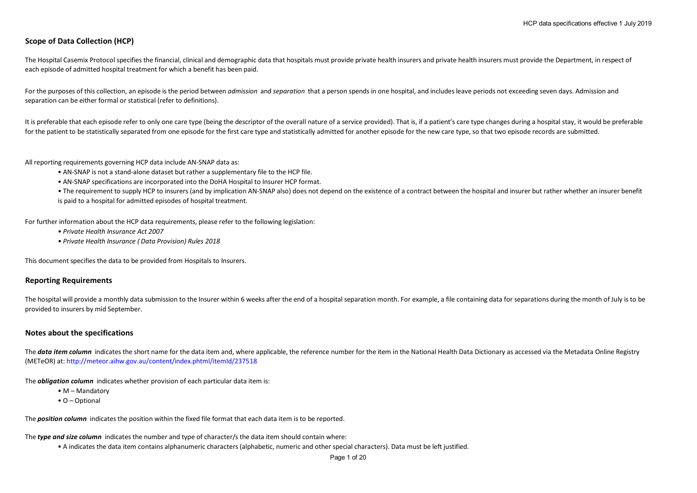# **Scope of Data Collection (HCP)**

The Hospital Casemix Protocol specifies the financial, clinical and demographic data that hospitals must provide private health insurers and private health insurers must provide the Department, in respect of each episode of admitted hospital treatment for which a benefit has been paid.

For the purposes of this collection, an episode is the period between *admission* and *separation* that a person spends in one hospital, and includes leave periods not exceeding seven days. Admission and separation can be either formal or statistical (refer to definitions).

It is preferable that each episode refer to only one care type (being the descriptor of the overall nature of a service provided). That is, if a patient's care type changes during a hospital stay, it would be preferable for the patient to be statistically separated from one episode for the first care type and statistically admitted for another episode for the new care type, so that two episode records are submitted.

All reporting requirements governing HCP data include AN-SNAP data as:

- AN-SNAP is not a stand-alone dataset but rather a supplementary file to the HCP file.
- AN-SNAP specifications are incorporated into the DoHA Hospital to Insurer HCP format.

• The requirement to supply HCP to insurers (and by implication AN-SNAP also) does not depend on the existence of a contract between the hospital and insurer but rather whether an insurer benefit is paid to a hospital for admitted episodes of hospital treatment.

For further information about the HCP data requirements, please refer to the following legislation:

- *Private Health Insurance Act 2007*
- *Private Health Insurance ( Data Provision) Rules 2018*

This document specifies the data to be provided from Hospitals to Insurers.

### **Reporting Requirements**

The hospital will provide a monthly data submission to the Insurer within 6 weeks after the end of a hospital separation month. For example, a file containing data for separations during the month of July is to be provided to insurers by mid September.

## **Notes about the specifications**

The **data item column** indicates the short name for the data item and, where applicable, the reference number for the item in the National Health Data Dictionary as accessed via the Metadata Online Registry (METeOR) at: http://meteor.aihw.gov.au/content/index.phtml/itemId/237518

The *obligation column* indicates whether provision of each particular data item is:

- M Mandatory
- O Optional

The *position column* indicates the position within the fixed file format that each data item is to be reported.

The *type and size column* indicates the number and type of character/s the data item should contain where:

• A indicates the data item contains alphanumeric characters (alphabetic, numeric and other special characters). Data must be left justified.

Page 1 of 20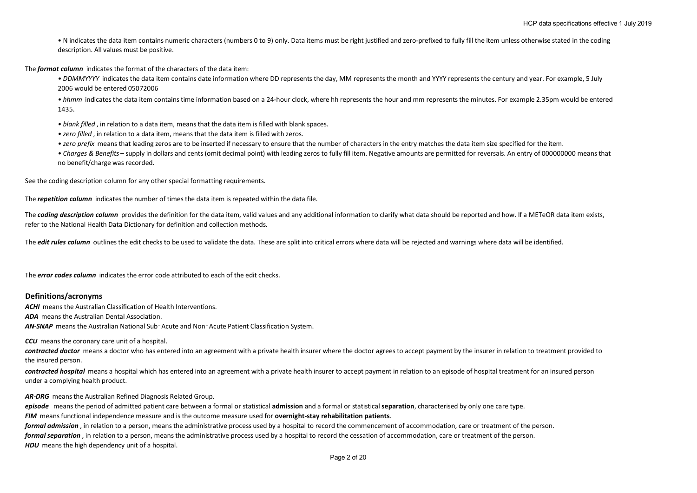• N indicates the data item contains numeric characters (numbers 0 to 9) only. Data items must be right justified and zero-prefixed to fully fill the item unless otherwise stated in the coding description. All values must be positive.

The *format column* indicates the format of the characters of the data item:

*• DDMMYYYY* indicates the data item contains date information where DD represents the day, MM represents the month and YYYY represents the century and year. For example, 5 July 2006 would be entered 05072006

*• hhmm* indicates the data item contains time information based on a 24-hour clock, where hh represents the hour and mm represents the minutes. For example 2.35pm would be entered 1435.

- *blank filled* , in relation to a data item, means that the data item is filled with blank spaces.
- *zero filled* , in relation to a data item, means that the data item is filled with zeros.
- *zero prefix* means that leading zeros are to be inserted if necessary to ensure that the number of characters in the entry matches the data item size specified for the item.
- *Charges & Benefits* supply in dollars and cents (omit decimal point) with leading zeros to fully fill item. Negative amounts are permitted for reversals. An entry of 000000000 means that no benefit/charge was recorded.

See the coding description column for any other special formatting requirements.

The *repetition column* indicates the number of times the data item is repeated within the data file.

The **coding description column** provides the definition for the data item, valid values and any additional information to clarify what data should be reported and how. If a METeOR data item exists, refer to the National Health Data Dictionary for definition and collection methods.

The **edit rules column** outlines the edit checks to be used to validate the data. These are split into critical errors where data will be rejected and warnings where data will be identified.

The *error codes column* indicates the error code attributed to each of the edit checks.

### **Definitions/acronyms**

*ACHI* means the Australian Classification of Health Interventions.

*ADA* means the Australian Dental Association.

AN-SNAP means the Australian National Sub-Acute and Non-Acute Patient Classification System.

*CCU* means the coronary care unit of a hospital.

contracted doctor means a doctor who has entered into an agreement with a private health insurer where the doctor agrees to accept payment by the insurer in relation to treatment provided to the insured person.

*contracted hospital* means a hospital which has entered into an agreement with a private health insurer to accept payment in relation to an episode of hospital treatment for an insured person under a complying health product.

*AR-DRG* means the Australian Refined Diagnosis Related Group.

*episode* means the period of admitted patient care between a formal or statistical **admission** and a formal or statistical **separation**, characterised by only one care type.

*FIM* means functional independence measure and is the outcome measure used for **overnight-stay rehabilitation patients**.

*formal admission* , in relation to a person, means the administrative process used by a hospital to record the commencement of accommodation, care or treatment of the person. *formal separation*, in relation to a person, means the administrative process used by a hospital to record the cessation of accommodation, care or treatment of the person. **HDU** means the high dependency unit of a hospital.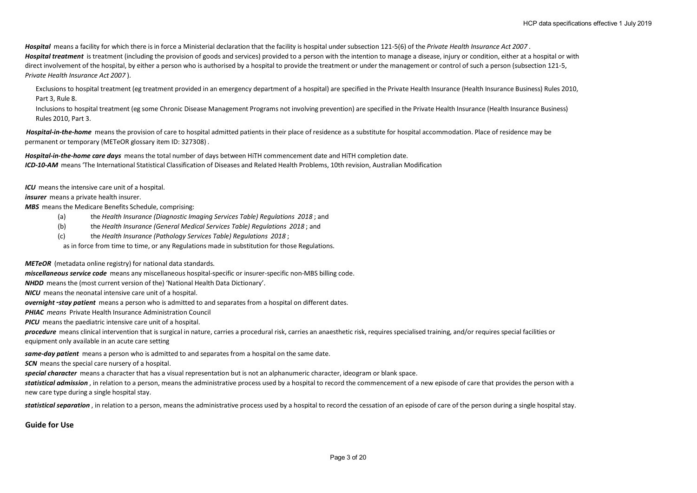*Hospital* means a facility for which there is in force a Ministerial declaration that the facility is hospital under subsection 121-5(6) of the *Private Health Insurance Act 2007* . *Hospital treatment* is treatment (including the provision of goods and services) provided to a person with the intention to manage a disease, injury or condition, either at a hospital or with direct involvement of the hospital, by either a person who is authorised by a hospital to provide the treatment or under the management or control of such a person (subsection 121-5, *Private Health Insurance Act 2007* ).

Exclusions to hospital treatment (eg treatment provided in an emergency department of a hospital) are specified in the Private Health Insurance (Health Insurance Business) Rules 2010, Part 3, Rule 8.

Inclusions to hospital treatment (eg some Chronic Disease Management Programs not involving prevention) are specified in the Private Health Insurance (Health Insurance Business) Rules 2010, Part 3.

Hospital-in-the-home means the provision of care to hospital admitted patients in their place of residence as a substitute for hospital accommodation. Place of residence may be permanent or temporary (METeOR glossary item ID: 327308) .

*Hospital-in-the-home care days* means the total number of days between HiTH commencement date and HiTH completion date. *ICD-10-AM* means 'The International Statistical Classification of Diseases and Related Health Problems, 10th revision, Australian Modification

*ICU* means the intensive care unit of a hospital.

*insurer* means a private health insurer.

*MBS* means the Medicare Benefits Schedule, comprising:

- (a) the *Health Insurance (Diagnostic Imaging Services Table) Regulations 2018* ; and
- (b) the *Health Insurance (General Medical Services Table) Regulations 2018* ; and
- (c) the *Health Insurance (Pathology Services Table) Regulations 2018* ;
- as in force from time to time, or any Regulations made in substitution for those Regulations.

*METeOR* (metadata online registry) for national data standards.

*miscellaneous service code* means any miscellaneous hospital-specific or insurer-specific non-MBS billing code.

*NHDD* means the (most current version of the) 'National Health Data Dictionary'.

*NICU* means the neonatal intensive care unit of a hospital.

*overnight*‑*stay patient* means a person who is admitted to and separates from a hospital on different dates.

*PHIAC means* Private Health Insurance Administration Council

*PICU* means the paediatric intensive care unit of a hospital.

procedure means clinical intervention that is surgical in nature, carries a procedural risk, carries an anaesthetic risk, requires specialised training, and/or requires special facilities or equipment only available in an acute care setting

*same-day patient* means a person who is admitted to and separates from a hospital on the same date.

**SCN** means the special care nursery of a hospital.

*special character* means a character that has a visual representation but is not an alphanumeric character, ideogram or blank space.

statistical admission, in relation to a person, means the administrative process used by a hospital to record the commencement of a new episode of care that provides the person with a new care type during a single hospital stay.

statistical separation, in relation to a person, means the administrative process used by a hospital to record the cessation of an episode of care of the person during a single hospital stay.

**Guide for Use**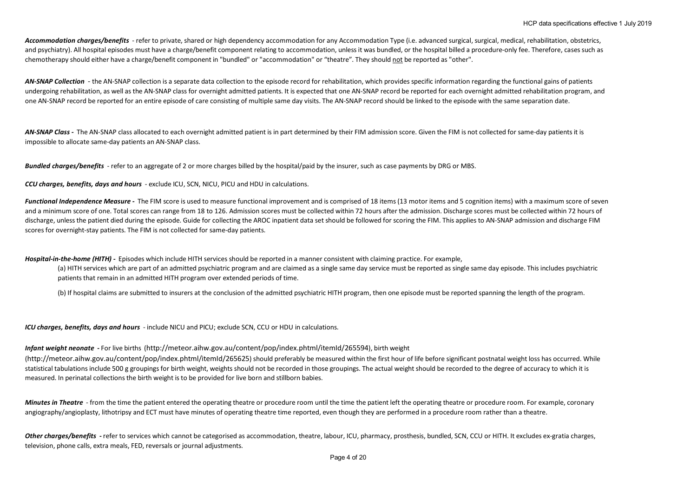Accommodation charges/benefits - refer to private, shared or high dependency accommodation for any Accommodation Type (i.e. advanced surgical, surgical, medical, rehabilitation, obstetrics, and psychiatry). All hospital episodes must have a charge/benefit component relating to accommodation, unless it was bundled, or the hospital billed a procedure-only fee. Therefore, cases such as chemotherapy should either have a charge/benefit component in "bundled" or "accommodation" or "theatre". They should not be reported as "other".

AN-SNAP Collection - the AN-SNAP collection is a separate data collection to the episode record for rehabilitation, which provides specific information regarding the functional gains of patients undergoing rehabilitation, as well as the AN-SNAP class for overnight admitted patients. It is expected that one AN-SNAP record be reported for each overnight admitted rehabilitation program, and one AN-SNAP record be reported for an entire episode of care consisting of multiple same day visits. The AN-SNAP record should be linked to the episode with the same separation date.

AN-SNAP Class - The AN-SNAP class allocated to each overnight admitted patient is in part determined by their FIM admission score. Given the FIM is not collected for same-day patients it is impossible to allocate same-day patients an AN-SNAP class.

*Bundled charges/benefits* - refer to an aggregate of 2 or more charges billed by the hospital/paid by the insurer, such as case payments by DRG or MBS.

*CCU charges, benefits, days and hours* - exclude ICU, SCN, NICU, PICU and HDU in calculations.

*Functional Independence Measure -* The FIM score is used to measure functional improvement and is comprised of 18 items (13 motor items and 5 cognition items) with a maximum score of seven and a minimum score of one. Total scores can range from 18 to 126. Admission scores must be collected within 72 hours after the admission. Discharge scores must be collected within 72 hours of discharge, unless the patient died during the episode. Guide for collecting the AROC inpatient data set should be followed for scoring the FIM. This applies to AN-SNAP admission and discharge FIM scores for overnight-stay patients. The FIM is not collected for same-day patients.

*Hospital-in-the-home (HITH) -* Episodes which include HITH services should be reported in a manner consistent with claiming practice. For example,

(a) HITH services which are part of an admitted psychiatric program and are claimed as a single same day service must be reported as single same day episode. This includes psychiatric patients that remain in an admitted HITH program over extended periods of time.

(b) If hospital claims are submitted to insurers at the conclusion of the admitted psychiatric HITH program, then one episode must be reported spanning the length of the program.

*ICU charges, benefits, days and hours* - include NICU and PICU; exclude SCN, CCU or HDU in calculations.

#### *Infant weight neonate* **-** For live births (http://meteor.aihw.gov.au/content/pop/index.phtml/itemId/265594), birth weight

(http://meteor.aihw.gov.au/content/pop/index.phtml/itemId/265625) should preferably be measured within the first hour of life before significant postnatal weight loss has occurred. While statistical tabulations include 500 g groupings for birth weight, weights should not be recorded in those groupings. The actual weight should be recorded to the degree of accuracy to which it is measured. In perinatal collections the birth weight is to be provided for live born and stillborn babies.

*Minutes in Theatre* - from the time the patient entered the operating theatre or procedure room until the time the patient left the operating theatre or procedure room. For example, coronary angiography/angioplasty, lithotripsy and ECT must have minutes of operating theatre time reported, even though they are performed in a procedure room rather than a theatre.

Other charges/benefits - refer to services which cannot be categorised as accommodation, theatre, labour, ICU, pharmacy, prosthesis, bundled, SCN, CCU or HITH, It excludes ex-gratia charges, television, phone calls, extra meals, FED, reversals or journal adjustments.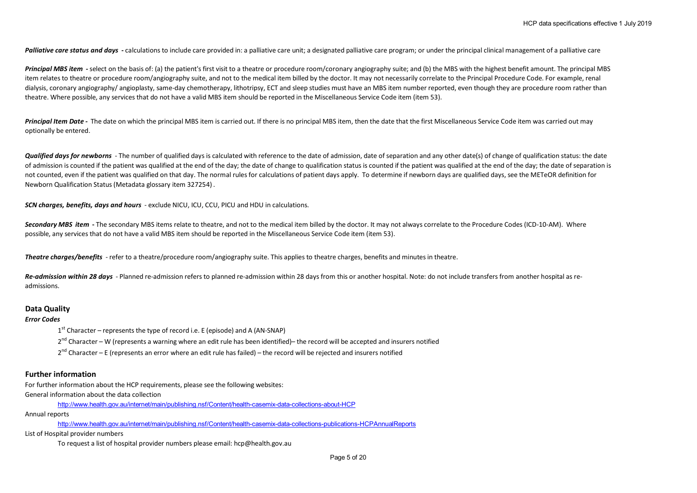Palliative care status and days - calculations to include care provided in: a palliative care unit; a designated palliative care program; or under the principal clinical management of a palliative care

**Principal MBS item** - select on the basis of: (a) the patient's first visit to a theatre or procedure room/coronary angiography suite; and (b) the MBS with the highest benefit amount. The principal MBS item relates to theatre or procedure room/angiography suite, and not to the medical item billed by the doctor. It may not necessarily correlate to the Principal Procedure Code. For example, renal dialysis, coronary angiography/ angioplasty, same-day chemotherapy, lithotripsy, ECT and sleep studies must have an MBS item number reported, even though they are procedure room rather than theatre. Where possible, any services that do not have a valid MBS item should be reported in the Miscellaneous Service Code item (item 53).

Principal Item Date - The date on which the principal MBS item is carried out. If there is no principal MBS item, then the date that the first Miscellaneous Service Code item was carried out may optionally be entered.

**Qualified days for newborns** - The number of qualified days is calculated with reference to the date of admission, date of separation and any other date(s) of change of qualification status: the date of admission is counted if the patient was qualified at the end of the day; the date of change to qualification status is counted if the patient was qualified at the end of the day; the date of separation is not counted, even if the patient was qualified on that day. The normal rules for calculations of patient days apply. To determine if newborn days are qualified days, see the METeOR definition for Newborn Qualification Status (Metadata glossary item 327254) .

*SCN charges, benefits, days and hours* - exclude NICU, ICU, CCU, PICU and HDU in calculations.

Secondary MBS item - The secondary MBS items relate to theatre, and not to the medical item billed by the doctor. It may not always correlate to the Procedure Codes (ICD-10-AM). Where possible, any services that do not have a valid MBS item should be reported in the Miscellaneous Service Code item (item 53).

*Theatre charges/benefits* - refer to a theatre/procedure room/angiography suite. This applies to theatre charges, benefits and minutes in theatre.

Re-admission within 28 days - Planned re-admission refers to planned re-admission within 28 days from this or another hospital. Note: do not include transfers from another hospital as readmissions.

#### **Data Quality**

#### *Error Codes*

 $1<sup>st</sup>$  Character – represents the type of record i.e. E (episode) and A (AN-SNAP)

2<sup>nd</sup> Character – W (represents a warning where an edit rule has been identified)– the record will be accepted and insurers notified

 $2^{nd}$  Character – E (represents an error where an edit rule has failed) – the record will be rejected and insurers notified

### **Further information**

For further information about the HCP requirements, please see the following websites: General information about the data collection

http://www.health.gov.au/internet/main/publishing.nsf/Content/health-casemix-data-collections-about-HCP

Annual reports

http://www.health.gov.au/internet/main/publishing.nsf/Content/health-casemix-data-collections-publications-HCPAnnualReports

List of Hospital provider numbers

To request a list of hospital provider numbers please email: hcp@health.gov.au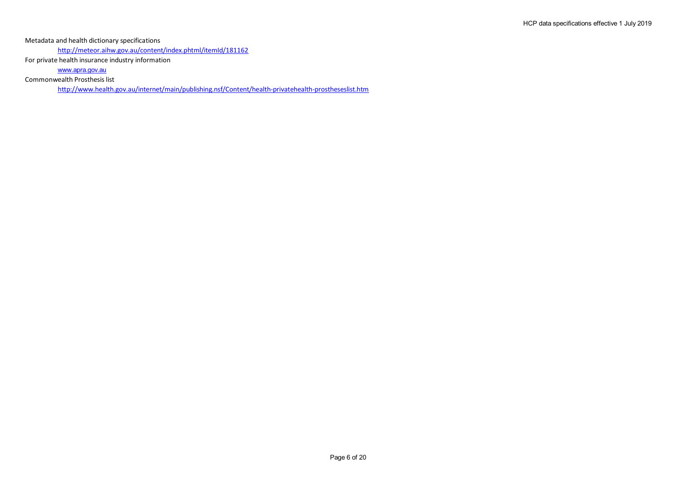Metadata and health dictionary specifications

http://meteor.aihw.gov.au/content/index.phtml/itemId/181162

For private health insurance industry information

www.apra.gov.au

Commonwealth Prosthesis list

http://www.health.gov.au/internet/main/publishing.nsf/Content/health-privatehealth-prostheseslist.htm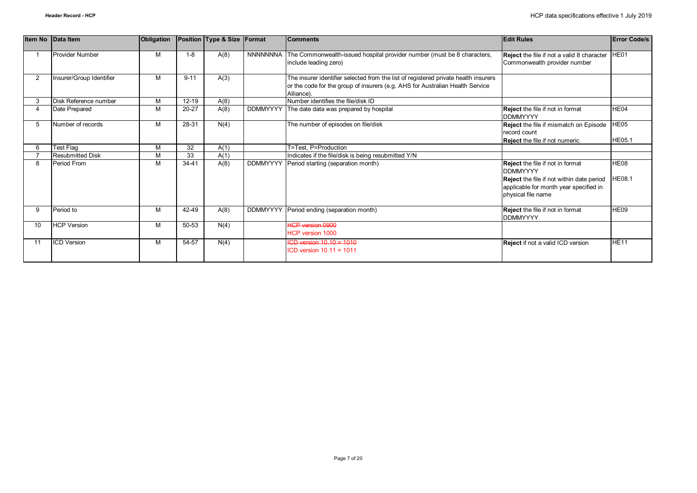|                | Item No Data Item        | Obligation |           | Position Type & Size | Format          | <b>Comments</b>                                                                                                                                                                    | <b>Edit Rules</b>                                                                                                                                                       | <b>Error Code/s</b>               |
|----------------|--------------------------|------------|-----------|----------------------|-----------------|------------------------------------------------------------------------------------------------------------------------------------------------------------------------------------|-------------------------------------------------------------------------------------------------------------------------------------------------------------------------|-----------------------------------|
|                | <b>Provider Number</b>   | M          | $1 - 8$   | A(8)                 | <b>NNNNNNNA</b> | The Commonwealth-issued hospital provider number (must be 8 characters,<br>include leading zero)                                                                                   | Reject the file if not a valid 8 character HE01<br>Commonwealth provider number                                                                                         |                                   |
| $\overline{2}$ | Insurer/Group Identifier | M          | $9 - 11$  | A(3)                 |                 | The insurer identifier selected from the list of registered private health insurers<br>or the code for the group of insurers (e.g. AHS for Australian Health Service<br>Alliance). |                                                                                                                                                                         |                                   |
|                | Disk Reference number    | M          | $12 - 19$ | A(8)                 |                 | Number identifies the file/disk ID                                                                                                                                                 |                                                                                                                                                                         |                                   |
|                | Date Prepared            | M          | $20 - 27$ | A(8)                 | <b>DDMMYYYY</b> | The date data was prepared by hospital                                                                                                                                             | Reject the file if not in format<br><b>DDMMYYYY</b>                                                                                                                     | HE04                              |
| 5              | Number of records        | M          | 28-31     | N(4)                 |                 | The number of episodes on file/disk                                                                                                                                                | Reject the file if mismatch on Episode<br>record count<br><b>Reject</b> the file if not numeric                                                                         | HE05<br><b>HE05.1</b>             |
|                | Test Flag                | M          | 32        | A(1)                 |                 | T=Test. P=Production                                                                                                                                                               |                                                                                                                                                                         |                                   |
|                | <b>Resubmitted Disk</b>  | M          | 33        | A(1)                 |                 | Indicates if the file/disk is being resubmitted Y/N                                                                                                                                |                                                                                                                                                                         |                                   |
| 8              | Period From              | M          | $34 - 41$ | A(8)                 | <b>DDMMYYYY</b> | Period starting (separation month)                                                                                                                                                 | <b>Reject</b> the file if not in format<br><b>DDMMYYYY</b><br>Reject the file if not within date period<br>applicable for month year specified in<br>physical file name | HE <sub>08</sub><br><b>HE08.1</b> |
| 9              | Period to                | M          | 42-49     | A(8)                 | <b>DDMMYYYY</b> | Period ending (separation month)                                                                                                                                                   | Reject the file if not in format<br><b>DDMMYYYY</b>                                                                                                                     | HE09                              |
| 10             | <b>HCP Version</b>       | M          | 50-53     | N(4)                 |                 | <b>HCP version 0900</b><br>HCP version 1000                                                                                                                                        |                                                                                                                                                                         |                                   |
| 11             | <b>ICD Version</b>       | M          | 54-57     | N(4)                 |                 | $ICD version 10.10 = 1010$<br>$ICD$ version $10.11 = 1011$                                                                                                                         | <b>Reject</b> if not a valid ICD version                                                                                                                                | <b>HE11</b>                       |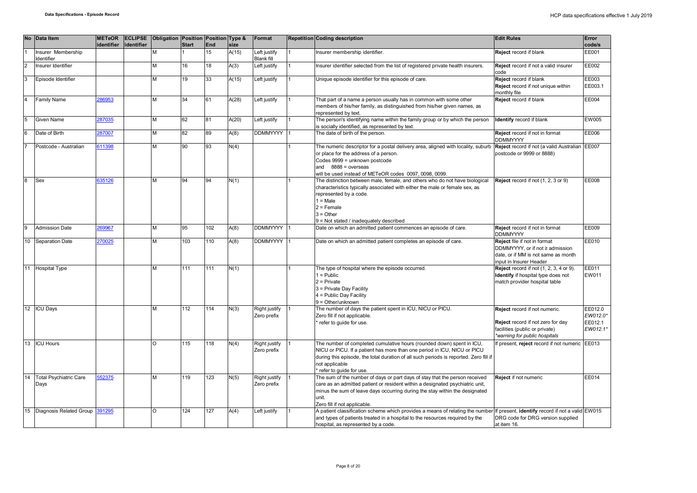|                 | No Data Item                          | <b>METeOR</b> | <b>ECLIPSE</b> | Obligation Position Position Type & |              |            |       | Format                            | <b>Repetition Coding description</b>                                                                                                                                                                                                                                                    | <b>Edit Rules</b>                                                                                                                     | Error                                      |
|-----------------|---------------------------------------|---------------|----------------|-------------------------------------|--------------|------------|-------|-----------------------------------|-----------------------------------------------------------------------------------------------------------------------------------------------------------------------------------------------------------------------------------------------------------------------------------------|---------------------------------------------------------------------------------------------------------------------------------------|--------------------------------------------|
|                 |                                       | identifier    | identifier     |                                     | <b>Start</b> | <b>End</b> | size  |                                   |                                                                                                                                                                                                                                                                                         |                                                                                                                                       | code/s                                     |
|                 | Insurer Membership<br>Identifier      |               |                | м                                   |              | 15         | A(15) | Left justify<br><b>Blank fill</b> | Insurer membership identifier.                                                                                                                                                                                                                                                          | Reject record if blank                                                                                                                | EE001                                      |
|                 | Insurer Identifier                    |               |                | М                                   | 16           | 18         | A(3)  | Left justify                      | Insurer identifier selected from the list of registered private health insurers.                                                                                                                                                                                                        | Reject record if not a valid insurer<br>code                                                                                          | EE002                                      |
| l3              | Episode Identifier                    |               |                | М                                   | 19           | 33         | A(15) | Left justify                      | Unique episode identifier for this episode of care.                                                                                                                                                                                                                                     | Reject record if blank<br>Reject record if not unique within<br>monthly file                                                          | EE003<br>EE003.1                           |
|                 | Family Name                           | 286953        |                | М                                   | 34           | 61         | A(28) | Left justify                      | That part of a name a person usually has in common with some other<br>members of his/her family, as distinguished from his/her given names, as<br>represented by text.                                                                                                                  | Reject record if blank                                                                                                                | EE004                                      |
|                 | Given Name                            | 87035         |                | М                                   | 62           | 81         | A(20) | Left justify                      | The person's identifying name within the family group or by which the person<br>is socially identified, as represented by text.                                                                                                                                                         | dentify record if blank                                                                                                               | EW005                                      |
|                 | Date of Birth                         | 87007         |                | М                                   | 82           | 89         | A(8)  | <b>DDMMYYYY</b>                   | The date of birth of the person.                                                                                                                                                                                                                                                        | Reject record if not in format<br><b>DDMMYYYY</b>                                                                                     | EE006                                      |
|                 | Postcode - Australian                 | 611398        |                | М                                   | 90           | 93         | N(4)  |                                   | The numeric descriptor for a postal delivery area, aligned with locality, suburb Reject record if not (a valid Australian<br>or place for the address of a person.<br>Codes 9999 = unknown postcode<br>and $8888$ = overseas<br>will be used instead of METeOR codes 0097, 0098, 0099.  | postcode or 9999 or 8888)                                                                                                             | <b>EE007</b>                               |
| R               | Sex                                   | 35126         |                | М                                   | 94           | 94         | N(1)  |                                   | The distinction between male, female, and others who do not have biological<br>characteristics typically associated with either the male or female sex, as<br>represented by a code.<br>$1 = Male$<br>$2$ = Female<br>$3 = Other$<br>9 = Not stated / inadequately described            | Reject record if not (1, 2, 3 or 9)                                                                                                   | EE008                                      |
|                 | <b>Admission Date</b>                 | 69967         |                | М                                   | 95           | 102        | A(8)  | <b>DDMMYYYY</b>                   | Date on which an admitted patient commences an episode of care.                                                                                                                                                                                                                         | Reject record if not in format<br>DDMMYYYY                                                                                            | EE009                                      |
| 10              | Separation Date                       | 270025        |                | М                                   | 103          | 110        | A(8)  | <b>DDMMYYYY</b>                   | Date on which an admitted patient completes an episode of care.                                                                                                                                                                                                                         | Reject file if not in format<br>DDMMYYYY, or if not ≥ admission<br>date, or if MM is not same as month<br>input in Insurer Header     | EE010                                      |
| 11              | <b>Hospital Type</b>                  |               |                | М                                   | 111          | 111        | N(1)  |                                   | The type of hospital where the episode occurred.<br>$1 =$ Public<br>$2$ = Private<br>3 = Private Day Facility<br>4 = Public Day Facility<br>$9 = Other/unknown$                                                                                                                         | <b>Reject</b> record if not (1, 2, 3, 4 or 9).<br>dentify if hospital type does not<br>match provider hospital table                  | EE011<br>EW011                             |
| 12 <sup>°</sup> | <b>ICU Days</b>                       |               |                | М                                   | 112          | 114        | N(3)  | Right justify<br>Zero prefix      | The number of days the patient spent in ICU, NICU or PICU.<br>Zero fill if not applicable.<br>refer to guide for use.                                                                                                                                                                   | Reject record if not numeric.<br>Reject record if not zero for day<br>facilities (public or private)<br>warning for public hospitals* | EE012.0<br>EW012.0*<br>EE012.1<br>EW012.1' |
| 13              | <b>ICU Hours</b>                      |               |                | O                                   | 115          | 118        | N(4)  | Right justify<br>Zero prefix      | The number of completed cumulative hours (rounded down) spent in ICU,<br>NICU or PICU. If a patient has more than one period in ICU, NICU or PICU<br>during this episode, the total duration of all such periods is reported. Zero fill if<br>not applicable<br>refer to guide for use. | f present, reject record if not numeric                                                                                               | EE013                                      |
| 14              | <b>Total Psychiatric Care</b><br>Days | 552375        |                | М                                   | 119          | 123        | N(5)  | Right justify<br>Zero prefix      | The sum of the number of days or part days of stay that the person received<br>care as an admitted patient or resident within a designated psychiatric unit,<br>minus the sum of leave days occurring during the stay within the designated<br>unit.<br>Zero fill if not applicable.    | Reject if not numeric                                                                                                                 | EE014                                      |
| 15              | Diagnosis Related Group               | 391295        |                | O                                   | 124          | 127        | A(4)  | Left justify                      | A patient classification scheme which provides a means of relating the number<br>and types of patients treated in a hospital to the resources required by the<br>hospital, as represented by a code.                                                                                    | If present, identify record if not a valid<br>DRG code for DRG version supplied<br>at item 16.                                        | EW015                                      |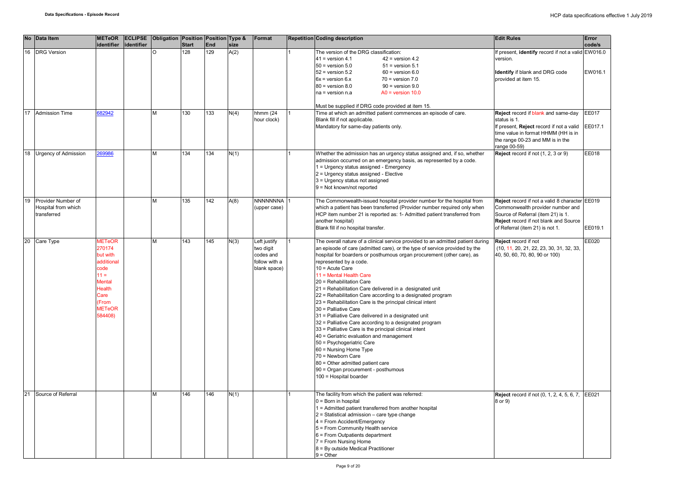|    | No Data Item                | <b>METeOR</b><br>identifier |            | <b>ECLIPSE</b> Obligation Position Position Type & | <b>Start</b> | <b>End</b> |      | Format        | <b>Repetition Coding description</b>                  |                                                                                 | <b>Edit Rules</b>                                 | Error<br>code/s |
|----|-----------------------------|-----------------------------|------------|----------------------------------------------------|--------------|------------|------|---------------|-------------------------------------------------------|---------------------------------------------------------------------------------|---------------------------------------------------|-----------------|
|    |                             |                             | identifier |                                                    |              |            | size |               |                                                       |                                                                                 |                                                   |                 |
| 16 | <b>DRG</b> Version          |                             |            |                                                    | 128          | 129        | A(2) |               | The version of the DRG classification:                |                                                                                 | f present, identify record if not a valid EW016.0 |                 |
|    |                             |                             |            |                                                    |              |            |      |               | $41$ = version 4.1                                    | $42$ = version 4.2                                                              | version.                                          |                 |
|    |                             |                             |            |                                                    |              |            |      |               | $50$ = version $5.0$                                  | $51$ = version $5.1$                                                            |                                                   |                 |
|    |                             |                             |            |                                                    |              |            |      |               | $52$ = version $5.2$                                  | $60$ = version $6.0$                                                            | Identify if blank and DRG code                    | EW016.1         |
|    |                             |                             |            |                                                    |              |            |      |               | $6x =$ version $6x$                                   | $70 = version 7.0$                                                              | provided at item 15.                              |                 |
|    |                             |                             |            |                                                    |              |            |      |               | $80$ = version $8.0$                                  | $90 =$ version $9.0$                                                            |                                                   |                 |
|    |                             |                             |            |                                                    |              |            |      |               | na = version n.a                                      | $AO = version 10.0$                                                             |                                                   |                 |
|    |                             |                             |            |                                                    |              |            |      |               |                                                       |                                                                                 |                                                   |                 |
|    |                             |                             |            |                                                    |              |            |      |               |                                                       | Must be supplied if DRG code provided at item 15.                               |                                                   |                 |
|    | 17 Admission Time           | 682942                      |            | M                                                  | 130          | 133        | N(4) | hhmm (24      |                                                       | Time at which an admitted patient commences an episode of care.                 | Reject record if blank and same-day               | <b>EE017</b>    |
|    |                             |                             |            |                                                    |              |            |      | hour clock)   | Blank fill if not applicable.                         |                                                                                 | status is 1.                                      |                 |
|    |                             |                             |            |                                                    |              |            |      |               | Mandatory for same-day patients only.                 |                                                                                 | If present, Reject record if not a valid          | EE017.1         |
|    |                             |                             |            |                                                    |              |            |      |               |                                                       |                                                                                 | time value in format HHMM (HH is in               |                 |
|    |                             |                             |            |                                                    |              |            |      |               |                                                       |                                                                                 | the range 00-23 and MM is in the                  |                 |
|    |                             |                             |            |                                                    |              |            |      |               |                                                       |                                                                                 | range 00-59)                                      |                 |
| 18 | <b>Urgency of Admission</b> | 69986                       |            | M                                                  | 134          | 134        | N(1) |               |                                                       | Whether the admission has an urgency status assigned and, if so, whether        | Reject record if not (1, 2, 3 or 9)               | EE018           |
|    |                             |                             |            |                                                    |              |            |      |               |                                                       | admission occurred on an emergency basis, as represented by a code.             |                                                   |                 |
|    |                             |                             |            |                                                    |              |            |      |               | 1 = Urgency status assigned - Emergency               |                                                                                 |                                                   |                 |
|    |                             |                             |            |                                                    |              |            |      |               | 2 = Urgency status assigned - Elective                |                                                                                 |                                                   |                 |
|    |                             |                             |            |                                                    |              |            |      |               |                                                       |                                                                                 |                                                   |                 |
|    |                             |                             |            |                                                    |              |            |      |               | 3 = Urgency status not assigned                       |                                                                                 |                                                   |                 |
|    |                             |                             |            |                                                    |              |            |      |               | 9 = Not known/not reported                            |                                                                                 |                                                   |                 |
|    |                             |                             |            |                                                    |              |            |      |               |                                                       |                                                                                 |                                                   |                 |
| 19 | Provider Number of          |                             |            | М                                                  | 135          | 142        | A(8) | NNNNNNNA      |                                                       | The Commonwealth-issued hospital provider number for the hospital from          | Reject record if not a valid 8 character EE019    |                 |
|    | Hospital from which         |                             |            |                                                    |              |            |      | (upper case)  |                                                       | which a patient has been transferred (Provider number required only when        | Commonwealth provider number and                  |                 |
|    | transferred                 |                             |            |                                                    |              |            |      |               |                                                       | HCP item number 21 is reported as: 1- Admitted patient transferred from         | Source of Referral (item 21) is 1.                |                 |
|    |                             |                             |            |                                                    |              |            |      |               | another hospital)                                     |                                                                                 | Reject record if not blank and Source             |                 |
|    |                             |                             |            |                                                    |              |            |      |               | Blank fill if no hospital transfer.                   |                                                                                 | of Referral (item 21) is not 1.                   | EE019.1         |
|    |                             |                             |            |                                                    |              |            |      |               |                                                       |                                                                                 |                                                   |                 |
|    | 20 Care Type                | <b>METeOR</b>               |            | M                                                  | 143          | 145        | N(3) | Left justify  |                                                       | The overall nature of a clinical service provided to an admitted patient during | Reject record if not                              | EE020           |
|    |                             | 270174                      |            |                                                    |              |            |      | two digit     |                                                       | an episode of care (admitted care), or the type of service provided by the      | (10, 11, 20, 21, 22, 23, 30, 31, 32, 33,          |                 |
|    |                             | but with                    |            |                                                    |              |            |      | codes and     |                                                       | hospital for boarders or posthumous organ procurement (other care), as          | 40, 50, 60, 70, 80, 90 or 100)                    |                 |
|    |                             | additional                  |            |                                                    |              |            |      | follow with a | represented by a code.                                |                                                                                 |                                                   |                 |
|    |                             | code                        |            |                                                    |              |            |      | blank space)  | 10 = Acute Care                                       |                                                                                 |                                                   |                 |
|    |                             | $11 =$                      |            |                                                    |              |            |      |               | 11 = Mental Health Care                               |                                                                                 |                                                   |                 |
|    |                             | <b>Mental</b>               |            |                                                    |              |            |      |               | 20 = Rehabilitation Care                              |                                                                                 |                                                   |                 |
|    |                             | Health                      |            |                                                    |              |            |      |               |                                                       | 21 = Rehabilitation Care delivered in a designated unit                         |                                                   |                 |
|    |                             | Care                        |            |                                                    |              |            |      |               |                                                       | 22 = Rehabilitation Care according to a designated program                      |                                                   |                 |
|    |                             | From                        |            |                                                    |              |            |      |               |                                                       | 23 = Rehabilitation Care is the principal clinical intent                       |                                                   |                 |
|    |                             | <b>METeOR</b>               |            |                                                    |              |            |      |               | 30 = Palliative Care                                  |                                                                                 |                                                   |                 |
|    |                             | 584408)                     |            |                                                    |              |            |      |               | 31 = Palliative Care delivered in a designated unit   |                                                                                 |                                                   |                 |
|    |                             |                             |            |                                                    |              |            |      |               |                                                       |                                                                                 |                                                   |                 |
|    |                             |                             |            |                                                    |              |            |      |               |                                                       | 32 = Palliative Care according to a designated program                          |                                                   |                 |
|    |                             |                             |            |                                                    |              |            |      |               | 33 = Palliative Care is the principal clinical intent |                                                                                 |                                                   |                 |
|    |                             |                             |            |                                                    |              |            |      |               | 40 = Geriatric evaluation and management              |                                                                                 |                                                   |                 |
|    |                             |                             |            |                                                    |              |            |      |               | 50 = Psychogeriatric Care                             |                                                                                 |                                                   |                 |
|    |                             |                             |            |                                                    |              |            |      |               | 60 = Nursing Home Type                                |                                                                                 |                                                   |                 |
|    |                             |                             |            |                                                    |              |            |      |               | 70 = Newborn Care                                     |                                                                                 |                                                   |                 |
|    |                             |                             |            |                                                    |              |            |      |               | 80 = Other admitted patient care                      |                                                                                 |                                                   |                 |
|    |                             |                             |            |                                                    |              |            |      |               | 90 = Organ procurement - posthumous                   |                                                                                 |                                                   |                 |
|    |                             |                             |            |                                                    |              |            |      |               | 100 = Hospital boarder                                |                                                                                 |                                                   |                 |
|    |                             |                             |            |                                                    |              |            |      |               |                                                       |                                                                                 |                                                   |                 |
|    |                             |                             |            |                                                    |              |            |      |               |                                                       |                                                                                 |                                                   |                 |
| 21 | Source of Referral          |                             |            | M                                                  | 146          | 146        | N(1) |               | The facility from which the patient was referred:     |                                                                                 | <b>Reject</b> record if not (0, 1, 2, 4, 5, 6, 7, | EE021           |
|    |                             |                             |            |                                                    |              |            |      |               | $0 = Born$ in hospital                                |                                                                                 | 8 or 9)                                           |                 |
|    |                             |                             |            |                                                    |              |            |      |               |                                                       | 1 = Admitted patient transferred from another hospital                          |                                                   |                 |
|    |                             |                             |            |                                                    |              |            |      |               | 2 = Statistical admission - care type change          |                                                                                 |                                                   |                 |
|    |                             |                             |            |                                                    |              |            |      |               | 4 = From Accident/Emergency                           |                                                                                 |                                                   |                 |
|    |                             |                             |            |                                                    |              |            |      |               | 5 = From Community Health service                     |                                                                                 |                                                   |                 |
|    |                             |                             |            |                                                    |              |            |      |               | 6 = From Outpatients department                       |                                                                                 |                                                   |                 |
|    |                             |                             |            |                                                    |              |            |      |               | 7 = From Nursing Home                                 |                                                                                 |                                                   |                 |
|    |                             |                             |            |                                                    |              |            |      |               | 8 = By outside Medical Practitioner                   |                                                                                 |                                                   |                 |
|    |                             |                             |            |                                                    |              |            |      |               | $9 = Other$                                           |                                                                                 |                                                   |                 |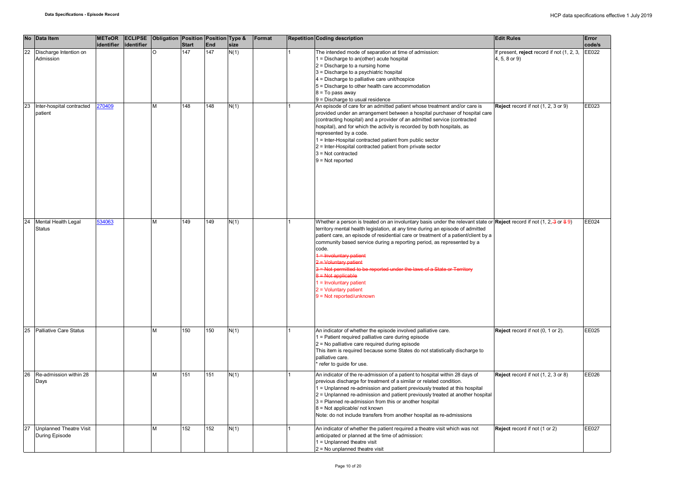|    | No Data Item                         | <b>METeOR</b> |            | <b>ECLIPSE</b> Obligation Position Position Type & |              |     |      | Format | <b>Repetition Coding description</b>                                                                                                                     | <b>Edit Rules</b>                          | Error  |
|----|--------------------------------------|---------------|------------|----------------------------------------------------|--------------|-----|------|--------|----------------------------------------------------------------------------------------------------------------------------------------------------------|--------------------------------------------|--------|
|    |                                      | identifier    | identifier |                                                    | <b>Start</b> | End | size |        |                                                                                                                                                          |                                            | code/s |
| 22 | Discharge Intention on               |               |            | $\Omega$                                           | 147          | 147 | N(1) |        | The intended mode of separation at time of admission:                                                                                                    | If present, reject record if not (1, 2, 3, | EE022  |
|    | Admission                            |               |            |                                                    |              |     |      |        | 1 = Discharge to an(other) acute hospital                                                                                                                | 4, 5, 8 or 9)                              |        |
|    |                                      |               |            |                                                    |              |     |      |        | 2 = Discharge to a nursing home                                                                                                                          |                                            |        |
|    |                                      |               |            |                                                    |              |     |      |        | 3 = Discharge to a psychiatric hospital                                                                                                                  |                                            |        |
|    |                                      |               |            |                                                    |              |     |      |        | 4 = Discharge to palliative care unit/hospice                                                                                                            |                                            |        |
|    |                                      |               |            |                                                    |              |     |      |        | 5 = Discharge to other health care accommodation                                                                                                         |                                            |        |
|    |                                      |               |            |                                                    |              |     |      |        | 8 = To pass away                                                                                                                                         |                                            |        |
|    |                                      |               |            |                                                    |              |     |      |        | 9 = Discharge to usual residence                                                                                                                         |                                            |        |
| 23 | Inter-hospital contracted<br>patient | 270409        |            | M                                                  | 148          | 148 | N(1) |        | An episode of care for an admitted patient whose treatment and/or care is<br>provided under an arrangement between a hospital purchaser of hospital care | Reject record if not (1, 2, 3 or 9)        | EE023  |
|    |                                      |               |            |                                                    |              |     |      |        | (contracting hospital) and a provider of an admitted service (contracted                                                                                 |                                            |        |
|    |                                      |               |            |                                                    |              |     |      |        | hospital), and for which the activity is recorded by both hospitals, as                                                                                  |                                            |        |
|    |                                      |               |            |                                                    |              |     |      |        | represented by a code.                                                                                                                                   |                                            |        |
|    |                                      |               |            |                                                    |              |     |      |        | 1 = Inter-Hospital contracted patient from public sector                                                                                                 |                                            |        |
|    |                                      |               |            |                                                    |              |     |      |        | 2 = Inter-Hospital contracted patient from private sector                                                                                                |                                            |        |
|    |                                      |               |            |                                                    |              |     |      |        | $3 = Not contracted$                                                                                                                                     |                                            |        |
|    |                                      |               |            |                                                    |              |     |      |        | $9 = Not reported$                                                                                                                                       |                                            |        |
|    |                                      |               |            |                                                    |              |     |      |        |                                                                                                                                                          |                                            |        |
|    |                                      |               |            |                                                    |              |     |      |        |                                                                                                                                                          |                                            |        |
|    |                                      |               |            |                                                    |              |     |      |        |                                                                                                                                                          |                                            |        |
|    |                                      |               |            |                                                    |              |     |      |        |                                                                                                                                                          |                                            |        |
|    |                                      |               |            |                                                    |              |     |      |        |                                                                                                                                                          |                                            |        |
|    |                                      |               |            |                                                    |              |     |      |        |                                                                                                                                                          |                                            |        |
|    |                                      |               |            |                                                    |              |     |      |        |                                                                                                                                                          |                                            |        |
|    |                                      |               |            |                                                    |              |     |      |        |                                                                                                                                                          |                                            |        |
| 24 | Mental Health Legal                  | 34063         |            | M                                                  | 149          | 149 | N(1) |        | Whether a person is treated on an involuntary basis under the relevant state or <b>Reject</b> record if not (1, 2, 3 or 8 9)                             |                                            | EE024  |
|    | <b>Status</b>                        |               |            |                                                    |              |     |      |        | territory mental health legislation, at any time during an episode of admitted                                                                           |                                            |        |
|    |                                      |               |            |                                                    |              |     |      |        | patient care, an episode of residential care or treatment of a patient/client by a                                                                       |                                            |        |
|    |                                      |               |            |                                                    |              |     |      |        | community based service during a reporting period, as represented by a                                                                                   |                                            |        |
|    |                                      |               |            |                                                    |              |     |      |        | code.                                                                                                                                                    |                                            |        |
|    |                                      |               |            |                                                    |              |     |      |        | 1 = Involuntary patient                                                                                                                                  |                                            |        |
|    |                                      |               |            |                                                    |              |     |      |        | 2 = Voluntary patient                                                                                                                                    |                                            |        |
|    |                                      |               |            |                                                    |              |     |      |        | 3 = Not permitted to be reported under the laws of a State or Territory                                                                                  |                                            |        |
|    |                                      |               |            |                                                    |              |     |      |        | 8 = Not applicable                                                                                                                                       |                                            |        |
|    |                                      |               |            |                                                    |              |     |      |        | $1 =$ Involuntary patient                                                                                                                                |                                            |        |
|    |                                      |               |            |                                                    |              |     |      |        | $2 =$ Voluntary patient                                                                                                                                  |                                            |        |
|    |                                      |               |            |                                                    |              |     |      |        | $9 = Not reported/unknown$                                                                                                                               |                                            |        |
|    |                                      |               |            |                                                    |              |     |      |        |                                                                                                                                                          |                                            |        |
|    |                                      |               |            |                                                    |              |     |      |        |                                                                                                                                                          |                                            |        |
|    |                                      |               |            |                                                    |              |     |      |        |                                                                                                                                                          |                                            |        |
|    |                                      |               |            |                                                    |              |     |      |        |                                                                                                                                                          |                                            |        |
| 25 | <b>Palliative Care Status</b>        |               |            | M                                                  | 150          | 150 | N(1) |        | An indicator of whether the episode involved palliative care.                                                                                            | Reject record if not (0, 1 or 2).          | EE025  |
|    |                                      |               |            |                                                    |              |     |      |        | 1 = Patient required palliative care during episode                                                                                                      |                                            |        |
|    |                                      |               |            |                                                    |              |     |      |        | 2 = No palliative care required during episode                                                                                                           |                                            |        |
|    |                                      |               |            |                                                    |              |     |      |        | This item is required because some States do not statistically discharge to                                                                              |                                            |        |
|    |                                      |               |            |                                                    |              |     |      |        | palliative care.                                                                                                                                         |                                            |        |
|    |                                      |               |            |                                                    |              |     |      |        | refer to quide for use.                                                                                                                                  |                                            |        |
|    |                                      |               |            | M                                                  |              |     |      |        |                                                                                                                                                          |                                            |        |
| 26 | Re-admission within 28               |               |            |                                                    | 151          | 151 | N(1) |        | An indicator of the re-admission of a patient to hospital within 28 days of                                                                              | Reject record if not (1, 2, 3 or 8)        | EE026  |
|    | Days                                 |               |            |                                                    |              |     |      |        | previous discharge for treatment of a similar or related condition.                                                                                      |                                            |        |
|    |                                      |               |            |                                                    |              |     |      |        | 1 = Unplanned re-admission and patient previously treated at this hospital                                                                               |                                            |        |
|    |                                      |               |            |                                                    |              |     |      |        | 2 = Unplanned re-admission and patient previously treated at another hospital                                                                            |                                            |        |
|    |                                      |               |            |                                                    |              |     |      |        | 3 = Planned re-admission from this or another hospital                                                                                                   |                                            |        |
|    |                                      |               |            |                                                    |              |     |      |        | 8 = Not applicable/ not known                                                                                                                            |                                            |        |
|    |                                      |               |            |                                                    |              |     |      |        | Note: do not include transfers from another hospital as re-admissions                                                                                    |                                            |        |
|    |                                      |               |            |                                                    |              |     |      |        |                                                                                                                                                          |                                            | EE027  |
|    | <b>Unplanned Theatre Visit</b>       |               |            | M                                                  | 152          | 152 | N(1) |        | An indicator of whether the patient required a theatre visit which was not                                                                               | Reject record if not (1 or 2)              |        |
|    | During Episode                       |               |            |                                                    |              |     |      |        | anticipated or planned at the time of admission:                                                                                                         |                                            |        |
|    |                                      |               |            |                                                    |              |     |      |        | $1 =$ Unplanned theatre visit<br>$2$ = No unplanned theatre visit                                                                                        |                                            |        |
|    |                                      |               |            |                                                    |              |     |      |        |                                                                                                                                                          |                                            |        |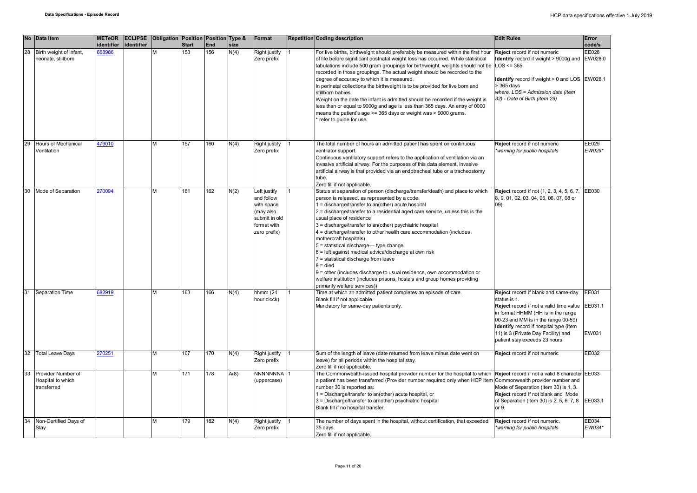|    | No Data Item                                           | identifier | METeOR ECLIPSE<br>identifier | Obligation Position Position Type & | <b>Start</b> | <b>End</b> | size | Format                                                                                                | Repetition Coding description                                                                                                                                                                                                                                                                                                                                                                                                                                                                                                                                                                                                                                                                                                                                                                                   | <b>Edit Rules</b>                                                                                                                                                                                                                                                                             | Error<br>code/s           |
|----|--------------------------------------------------------|------------|------------------------------|-------------------------------------|--------------|------------|------|-------------------------------------------------------------------------------------------------------|-----------------------------------------------------------------------------------------------------------------------------------------------------------------------------------------------------------------------------------------------------------------------------------------------------------------------------------------------------------------------------------------------------------------------------------------------------------------------------------------------------------------------------------------------------------------------------------------------------------------------------------------------------------------------------------------------------------------------------------------------------------------------------------------------------------------|-----------------------------------------------------------------------------------------------------------------------------------------------------------------------------------------------------------------------------------------------------------------------------------------------|---------------------------|
| 28 | Birth weight of infant,<br>neonate, stillborn          | 668986     |                              |                                     | 153          | 156        | N(4) | Right justify<br>Zero prefix                                                                          | For live births, birthweight should preferably be measured within the first hour<br>of life before significant postnatal weight loss has occurred. While statistical<br>tabulations include 500 gram groupings for birthweight, weights should not be<br>recorded in those groupings. The actual weight should be recorded to the<br>degree of accuracy to which it is measured.<br>In perinatal collections the birthweight is to be provided for live born and<br>stillborn babies.<br>Weight on the date the infant is admitted should be recorded if the weight is<br>less than or equal to 9000g and age is less than 365 days. An entry of 0000<br>means the patient's age >= 365 days or weight was > 9000 grams.<br>refer to quide for use.                                                             | Reject record if not numeric<br><b>Identify</b> record if weight > 9000g and EW028.0<br>$LOS \le 365$<br>Identify record if weight > 0 and LOS EW028.1<br>> 365 days<br>where, LOS = Admission date (item<br>32) - Date of Birth (item 29)                                                    | EE028                     |
| 29 | Hours of Mechanical<br>Ventilation                     | 479010     |                              | M                                   | 157          | 160        | N(4) | <b>Right justify</b><br>Zero prefix                                                                   | The total number of hours an admitted patient has spent on continuous<br>ventilator support.<br>Continuous ventilatory support refers to the application of ventilation via an<br>invasive artificial airway. For the purposes of this data element, invasive<br>artificial airway is that provided via an endotracheal tube or a tracheostomy<br>tube.<br>Zero fill if not applicable.                                                                                                                                                                                                                                                                                                                                                                                                                         | Reject record if not numeric<br>*warning for public hospitals                                                                                                                                                                                                                                 | EE029<br>EW029*           |
| 30 | Mode of Separation                                     | 270094     |                              | M                                   | 161          | 162        | N(2) | Left justify<br>and follow<br>with space<br>(may also<br>submit in old<br>format with<br>zero prefix) | Status at separation of person (discharge/transfer/death) and place to which<br>person is released, as represented by a code.<br>$1 =$ discharge/transfer to an(other) acute hospital<br>2 = discharge/transfer to a residential aged care service, unless this is the<br>usual place of residence<br>3 = discharge/transfer to an(other) psychiatric hospital<br>4 = discharge/transfer to other health care accommodation (includes<br>mothercraft hospitals)<br>5 = statistical discharge-type change<br>6 = left against medical advice/discharge at own risk<br>7 = statistical discharge from leave<br>$8 =$ died<br>$9$ = other (includes discharge to usual residence, own accommodation or<br>welfare institution (includes prisons, hostels and group homes providing<br>primarily welfare services)) | Reject record if not (1, 2, 3, 4, 5, 6, 7,<br>8, 9, 01, 02, 03, 04, 05, 06, 07, 08 or<br>$(09)$ .                                                                                                                                                                                             | EE030                     |
| 31 | <b>Separation Time</b>                                 | 682919     |                              | M                                   | 163          | 166        | N(4) | hhmm (24<br>hour clock)                                                                               | Time at which an admitted patient completes an episode of care.<br>Blank fill if not applicable.<br>Mandatory for same-day patients only.                                                                                                                                                                                                                                                                                                                                                                                                                                                                                                                                                                                                                                                                       | Reject record if blank and same-day<br>status is 1.<br>Reject record if not a valid time value<br>in format HHMM (HH is in the range<br>00-23 and MM is in the range 00-59)<br>Identify record if hospital type (item<br>11) is 3 (Private Day Facility) and<br>patient stay exceeds 23 hours | EE031<br>EE031.1<br>EW031 |
| 32 | <b>Total Leave Days</b>                                | 270251     |                              | M                                   | 167          | 170        | N(4) | Right justify<br>Zero prefix                                                                          | Sum of the length of leave (date returned from leave minus date went on<br>leave) for all periods within the hospital stay.<br>Zero fill if not applicable.                                                                                                                                                                                                                                                                                                                                                                                                                                                                                                                                                                                                                                                     | Reject record if not numeric                                                                                                                                                                                                                                                                  | EE032                     |
| 33 | Provider Number of<br>Hospital to which<br>transferred |            |                              | M                                   | 171          | 178        | A(8) | NNNNNNNA<br>(uppercase)                                                                               | The Commonwealth-issued hospital provider number for the hospital to which<br>a patient has been transferred (Provider number required only when HCP item<br>number 30 is reported as:<br>1 = Discharge/transfer to an(other) acute hospital, or<br>3 = Discharge/transfer to a(nother) psychiatric hospital<br>Blank fill if no hospital transfer.                                                                                                                                                                                                                                                                                                                                                                                                                                                             | Reject record if not a valid 8 character EE033<br>Commonwealth provider number and<br>Mode of Separation (item 30) is 1, 3.<br>Reject record if not blank and Mode<br>of Separation (item 30) is 2, 5, 6, 7, 8<br>or 9.                                                                       | EE033.1                   |
|    | Non-Certified Days of<br>Stay                          |            |                              | M                                   | 179          | 182        | N(4) | Right justify<br>Zero prefix                                                                          | The number of days spent in the hospital, without certification, that exceeded<br>35 days.<br>Zero fill if not applicable.                                                                                                                                                                                                                                                                                                                                                                                                                                                                                                                                                                                                                                                                                      | Reject record if not numeric.<br>warning for public hospitals*                                                                                                                                                                                                                                | EE034<br>EW034*           |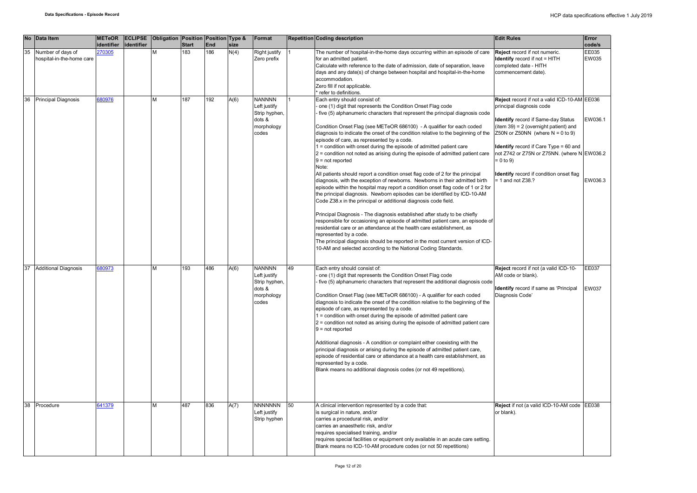|    | No Data Item               | <b>METeOR</b> |            | <b>ECLIPSE</b> Obligation Position Position Type & |              |            |      | Format              |    | <b>Repetition Coding description</b>                                                                                                                       | <b>Edit Rules</b>                            | Error        |
|----|----------------------------|---------------|------------|----------------------------------------------------|--------------|------------|------|---------------------|----|------------------------------------------------------------------------------------------------------------------------------------------------------------|----------------------------------------------|--------------|
|    |                            | identifier    | identifier |                                                    | <b>Start</b> | <b>End</b> | size |                     |    |                                                                                                                                                            |                                              | code/s       |
| 35 | Number of days of          | 270305        |            |                                                    | 183          | 186        | N(4) | Right justify       |    | The number of hospital-in-the-home days occurring within an episode of care                                                                                | Reject record if not numeric.                | EE035        |
|    | hospital-in-the-home care  |               |            |                                                    |              |            |      | Zero prefix         |    | for an admitted patient.                                                                                                                                   | <b>Identify</b> record if not = HITH         | <b>EW035</b> |
|    |                            |               |            |                                                    |              |            |      |                     |    | Calculate with reference to the date of admission, date of separation, leave                                                                               | completed date - HITH                        |              |
|    |                            |               |            |                                                    |              |            |      |                     |    | days and any date(s) of change between hospital and hospital-in-the-home                                                                                   | commencement date).                          |              |
|    |                            |               |            |                                                    |              |            |      |                     |    | accommodation.                                                                                                                                             |                                              |              |
|    |                            |               |            |                                                    |              |            |      |                     |    | Zero fill if not applicable.                                                                                                                               |                                              |              |
|    |                            |               |            |                                                    |              |            |      |                     |    | refer to definitions.                                                                                                                                      |                                              |              |
| 36 | <b>Principal Diagnosis</b> | 680976        |            | М                                                  | 187          | 192        | A(6) | <b>NANNNN</b>       |    | Each entry should consist of:                                                                                                                              | Reject record if not a valid ICD-10-AM EE036 |              |
|    |                            |               |            |                                                    |              |            |      | Left justify        |    | one (1) digit that represents the Condition Onset Flag code                                                                                                | orincipal diagnosis code                     |              |
|    |                            |               |            |                                                    |              |            |      | Strip hyphen,       |    | five (5) alphanumeric characters that represent the principal diagnosis code                                                                               |                                              |              |
|    |                            |               |            |                                                    |              |            |      | dots &              |    |                                                                                                                                                            | Identify record if Same-day Status           | EW036.1      |
|    |                            |               |            |                                                    |              |            |      | morphology          |    | Condition Onset Flag (see METeOR 686100) - A qualifier for each coded                                                                                      | item 39) = 2 (overnight patient) and         |              |
|    |                            |               |            |                                                    |              |            |      | codes               |    | diagnosis to indicate the onset of the condition relative to the beginning of the                                                                          | Z50N or Z50NN (where $N = 0$ to 9)           |              |
|    |                            |               |            |                                                    |              |            |      |                     |    | episode of care, as represented by a code.                                                                                                                 |                                              |              |
|    |                            |               |            |                                                    |              |            |      |                     |    | 1 = condition with onset during the episode of admitted patient care                                                                                       | Identify record if Care Type = 60 and        |              |
|    |                            |               |            |                                                    |              |            |      |                     |    | 2 = condition not noted as arising during the episode of admitted patient care                                                                             | not Z742 or Z75N or Z75NN. (where N EW036.2  |              |
|    |                            |               |            |                                                    |              |            |      |                     |    | $9 = not reported$                                                                                                                                         | $= 0$ to 9)                                  |              |
|    |                            |               |            |                                                    |              |            |      |                     |    | Note:                                                                                                                                                      |                                              |              |
|    |                            |               |            |                                                    |              |            |      |                     |    | All patients should report a condition onset flag code of 2 for the principal                                                                              | dentify record if condition onset flag       |              |
|    |                            |               |            |                                                    |              |            |      |                     |    | diagnosis, with the exception of newborns. Newborns in their admitted birth                                                                                | 1 and not Z38.?                              | EW036.3      |
|    |                            |               |            |                                                    |              |            |      |                     |    | episode within the hospital may report a condition onset flag code of 1 or 2 for                                                                           |                                              |              |
|    |                            |               |            |                                                    |              |            |      |                     |    | the principal diagnosis. Newborn episodes can be identified by ICD-10-AM                                                                                   |                                              |              |
|    |                            |               |            |                                                    |              |            |      |                     |    | Code Z38.x in the principal or additional diagnosis code field.                                                                                            |                                              |              |
|    |                            |               |            |                                                    |              |            |      |                     |    |                                                                                                                                                            |                                              |              |
|    |                            |               |            |                                                    |              |            |      |                     |    | Principal Diagnosis - The diagnosis established after study to be chiefly                                                                                  |                                              |              |
|    |                            |               |            |                                                    |              |            |      |                     |    | responsible for occasioning an episode of admitted patient care, an episode of                                                                             |                                              |              |
|    |                            |               |            |                                                    |              |            |      |                     |    | residential care or an attendance at the health care establishment, as                                                                                     |                                              |              |
|    |                            |               |            |                                                    |              |            |      |                     |    | represented by a code.                                                                                                                                     |                                              |              |
|    |                            |               |            |                                                    |              |            |      |                     |    | The principal diagnosis should be reported in the most current version of ICD-                                                                             |                                              |              |
|    |                            |               |            |                                                    |              |            |      |                     |    | 10-AM and selected according to the National Coding Standards.                                                                                             |                                              |              |
|    |                            |               |            |                                                    |              |            |      |                     |    |                                                                                                                                                            |                                              |              |
|    |                            |               |            |                                                    |              |            |      |                     |    |                                                                                                                                                            |                                              |              |
|    | 37 Additional Diagnosis    | 80973         |            | м                                                  | 193          | 486        | A(6) | <b>NANNNN</b>       | 49 | Each entry should consist of:                                                                                                                              | Reject record if not (a valid ICD-10-        | <b>EE037</b> |
|    |                            |               |            |                                                    |              |            |      | Left justify        |    | one (1) digit that represents the Condition Onset Flag code                                                                                                | AM code or blank).                           |              |
|    |                            |               |            |                                                    |              |            |      | Strip hyphen,       |    | five (5) alphanumeric characters that represent the additional diagnosis code                                                                              |                                              |              |
|    |                            |               |            |                                                    |              |            |      | dots &              |    |                                                                                                                                                            | Identify record if same as 'Principal        | EW037        |
|    |                            |               |            |                                                    |              |            |      |                     |    |                                                                                                                                                            | Diagnosis Code'                              |              |
|    |                            |               |            |                                                    |              |            |      | morphology<br>codes |    | Condition Onset Flag (see METeOR 686100) - A qualifier for each coded<br>diagnosis to indicate the onset of the condition relative to the beginning of the |                                              |              |
|    |                            |               |            |                                                    |              |            |      |                     |    |                                                                                                                                                            |                                              |              |
|    |                            |               |            |                                                    |              |            |      |                     |    | episode of care, as represented by a code.<br>1 = condition with onset during the episode of admitted patient care                                         |                                              |              |
|    |                            |               |            |                                                    |              |            |      |                     |    |                                                                                                                                                            |                                              |              |
|    |                            |               |            |                                                    |              |            |      |                     |    | 2 = condition not noted as arising during the episode of admitted patient care                                                                             |                                              |              |
|    |                            |               |            |                                                    |              |            |      |                     |    | $9 = not reported$                                                                                                                                         |                                              |              |
|    |                            |               |            |                                                    |              |            |      |                     |    |                                                                                                                                                            |                                              |              |
|    |                            |               |            |                                                    |              |            |      |                     |    | Additional diagnosis - A condition or complaint either coexisting with the                                                                                 |                                              |              |
|    |                            |               |            |                                                    |              |            |      |                     |    | principal diagnosis or arising during the episode of admitted patient care,                                                                                |                                              |              |
|    |                            |               |            |                                                    |              |            |      |                     |    | episode of residential care or attendance at a health care establishment, as                                                                               |                                              |              |
|    |                            |               |            |                                                    |              |            |      |                     |    | represented by a code.                                                                                                                                     |                                              |              |
|    |                            |               |            |                                                    |              |            |      |                     |    | Blank means no additional diagnosis codes (or not 49 repetitions).                                                                                         |                                              |              |
|    |                            |               |            |                                                    |              |            |      |                     |    |                                                                                                                                                            |                                              |              |
|    |                            |               |            |                                                    |              |            |      |                     |    |                                                                                                                                                            |                                              |              |
|    |                            |               |            |                                                    |              |            |      |                     |    |                                                                                                                                                            |                                              |              |
|    |                            |               |            |                                                    |              |            |      |                     |    |                                                                                                                                                            |                                              |              |
|    | 38 Procedure               | 641379        |            | м                                                  | 487          | 836        | A(7) | <b>NNNNNNN</b>      | 50 | A clinical intervention represented by a code that:                                                                                                        | Reject if not (a valid ICD-10-AM code EE038  |              |
|    |                            |               |            |                                                    |              |            |      | Left justify        |    | is surgical in nature, and/or                                                                                                                              | or blank).                                   |              |
|    |                            |               |            |                                                    |              |            |      | Strip hyphen        |    | carries a procedural risk, and/or                                                                                                                          |                                              |              |
|    |                            |               |            |                                                    |              |            |      |                     |    | carries an anaesthetic risk, and/or                                                                                                                        |                                              |              |
|    |                            |               |            |                                                    |              |            |      |                     |    | requires specialised training, and/or                                                                                                                      |                                              |              |
|    |                            |               |            |                                                    |              |            |      |                     |    | requires special facilities or equipment only available in an acute care setting.                                                                          |                                              |              |
|    |                            |               |            |                                                    |              |            |      |                     |    | Blank means no ICD-10-AM procedure codes (or not 50 repetitions)                                                                                           |                                              |              |
|    |                            |               |            |                                                    |              |            |      |                     |    |                                                                                                                                                            |                                              |              |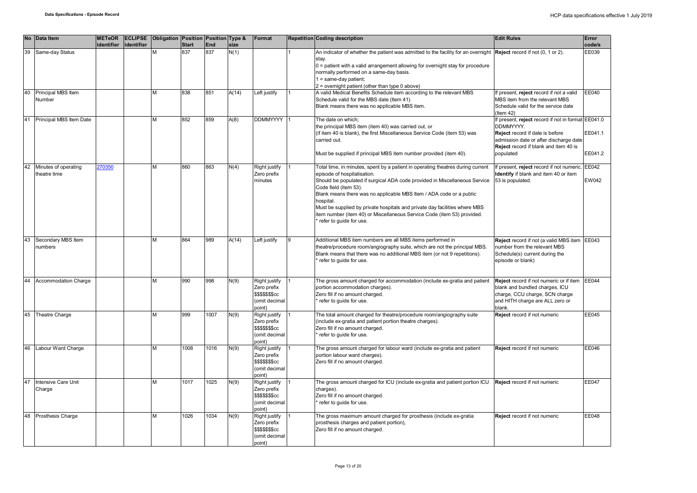|    | No Data Item                         | identifier | identifier | METeOR ECLIPSE Obligation Position Position Type & | <b>Start</b> | <b>End</b> | size  | Format                                                                             | <b>Repetition Coding description</b>                                                                                                                                                                                                                                                                                                                                                                                                                                                          | <b>Edit Rules</b>                                                                                                                                                                                 | Error<br>code/s              |
|----|--------------------------------------|------------|------------|----------------------------------------------------|--------------|------------|-------|------------------------------------------------------------------------------------|-----------------------------------------------------------------------------------------------------------------------------------------------------------------------------------------------------------------------------------------------------------------------------------------------------------------------------------------------------------------------------------------------------------------------------------------------------------------------------------------------|---------------------------------------------------------------------------------------------------------------------------------------------------------------------------------------------------|------------------------------|
| 39 | Same-day Status                      |            |            |                                                    | 837          | 837        | N(1)  |                                                                                    | An indicator of whether the patient was admitted to the facility for an overnight<br>stay.<br>$0$ = patient with a valid arrangement allowing for overnight stay for procedure<br>normally performed on a same-day basis.<br>$1 = same-day patient;$<br>2 = overnight patient (other than type 0 above)                                                                                                                                                                                       | Reject record if not (0, 1 or 2).                                                                                                                                                                 | EE039                        |
| 40 | Principal MBS Item<br>Number         |            |            | M                                                  | 838          | 851        | A(14) | Left justify                                                                       | A valid Medical Benefits Schedule item according to the relevant MBS<br>Schedule valid for the MBS date (Item 41).<br>Blank means there was no applicable MBS item.                                                                                                                                                                                                                                                                                                                           | f present, reject record if not a valid<br>MBS item from the relevant MBS<br>Schedule valid for the service date<br>(Item $42$ )                                                                  | EE040                        |
| 41 | Principal MBS Item Date              |            |            | M                                                  | 852          | 859        | A(8)  | <b>DDMMYYYY</b>                                                                    | The date on which;<br>the principal MBS item (item 40) was carried out, or<br>(if item 40 is blank), the first Miscellaneous Service Code (item 53) was<br>carried out.<br>Must be supplied if principal MBS item number provided (item 40).                                                                                                                                                                                                                                                  | f present, reject record if not in format EE041.0<br>DDMMYYYY.<br>Reject record if date is before<br>admission date or after discharge date<br>Reject record if blank and item 40 is<br>populated | EE041.1<br>EE041.2           |
| 42 | Minutes of operating<br>theatre time | 270350     |            | М                                                  | 860          | 863        | N(4)  | Right justify<br>Zero prefix<br>minutes                                            | Total time, in minutes, spent by a patient in operating theatres during current<br>episode of hospitalisation.<br>Should be populated if surgical ADA code provided in Miscellaneous Service<br>Code field (item 53).<br>Blank means there was no applicable MBS Item / ADA code or a public<br>hospital.<br>Must be supplied by private hospitals and private day facilities where MBS<br>item number (item 40) or Miscellaneous Service Code (item 53) provided.<br>refer to guide for use. | If present, reject record if not numeric.<br>Identify if blank and item 40 or item<br>53 is populated.                                                                                            | <b>EE042</b><br><b>EW042</b> |
| 43 | Secondary MBS Item<br>numbers        |            |            | M                                                  | 864          | 989        | A(14) | Left justify                                                                       | Additional MBS item numbers are all MBS items performed in<br>theatre/procedure room/angiography suite, which are not the principal MBS.<br>Blank means that there was no additional MBS item (or not 9 repetitions).<br>refer to quide for use.                                                                                                                                                                                                                                              | Reject record if not (a valid MBS item EE043<br>number from the relevant MBS<br>Schedule(s) current during the<br>episode or blank)                                                               |                              |
| 44 | Accommodation Charge                 |            |            | M                                                  | 990          | 998        | N(9)  | Right justify<br>Zero prefix<br><b>\$\$\$\$\$\$\$cc</b><br>(omit decimal<br>point) | The gross amount charged for accommodation (include ex-gratia and patient<br>portion accommodation charges).<br>Zero fill if no amount charged.<br>refer to quide for use.                                                                                                                                                                                                                                                                                                                    | Reject record if not numeric or if item<br>blank and bundled charges, ICU<br>charge, CCU charge, SCN charge<br>and HITH charge are ALL zero or<br>blank.                                          | <b>EE044</b>                 |
| 45 | Theatre Charge                       |            |            | M                                                  | 999          | 1007       | N(9)  | Right justify<br>Zero prefix<br><b>\$\$\$\$\$\$\$cc</b><br>(omit decimal<br>point) | The total amount charged for theatre/procedure room/angiography suite<br>(include ex-gratia and patient portion theatre charges).<br>Zero fill if no amount charged.<br>refer to guide for use.                                                                                                                                                                                                                                                                                               | Reject record if not numeric                                                                                                                                                                      | EE045                        |
| 46 | Labour Ward Charge                   |            |            | M                                                  | 1008         | 1016       | N(9)  | Right justify<br>Zero prefix<br>\$\$\$\$\$\$\$cc<br>(omit decimal<br>point)        | The gross amount charged for labour ward (include ex-gratia and patient<br>portion labour ward charges).<br>Zero fill if no amount charged.                                                                                                                                                                                                                                                                                                                                                   | Reject record if not numeric                                                                                                                                                                      | EE046                        |
| 47 | Intensive Care Unit<br>Charge        |            |            | M                                                  | 1017         | 1025       | N(9)  | Right justify<br>Zero prefix<br>\$\$\$\$\$\$\$cc<br>(omit decimal<br>point)        | The gross amount charged for ICU (include ex-gratia and patient portion ICU<br>charges).<br>Zero fill if no amount charged.<br>refer to guide for use.                                                                                                                                                                                                                                                                                                                                        | Reject record if not numeric                                                                                                                                                                      | EE047                        |
|    | 48 Prosthesis Charge                 |            |            | M                                                  | 1026         | 1034       | N(9)  | Right justify<br>Zero prefix<br><b>\$\$\$\$\$\$\$cc</b><br>(omit decimal<br>point) | The gross maximum amount charged for prosthesis (include ex-gratia<br>prosthesis charges and patient portion),<br>Zero fill if no amount charged.                                                                                                                                                                                                                                                                                                                                             | Reject record if not numeric                                                                                                                                                                      | <b>EE048</b>                 |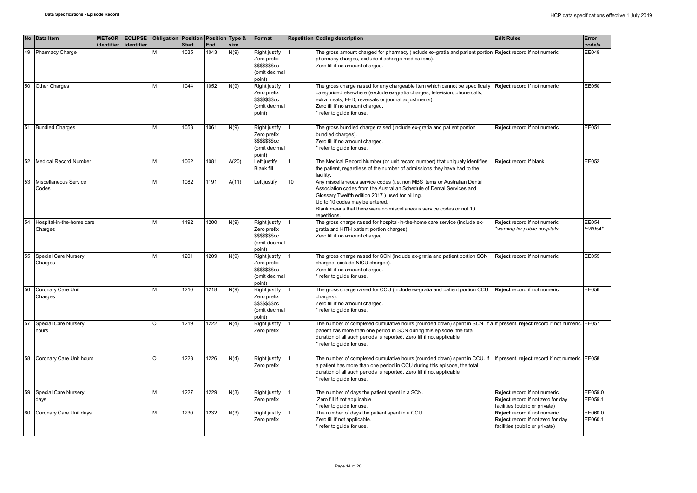|    | No Data Item                         | identifier | METeOR ECLIPSE<br>identifier | Obligation Position Position Type & | <b>Start</b> | End  | size  | Format                                                                                          |                  | <b>Repetition Coding description</b>                                                                                                                                                                                                                                                                                            | <b>Edit Rules</b>                                                                                    | Error<br>code/s    |
|----|--------------------------------------|------------|------------------------------|-------------------------------------|--------------|------|-------|-------------------------------------------------------------------------------------------------|------------------|---------------------------------------------------------------------------------------------------------------------------------------------------------------------------------------------------------------------------------------------------------------------------------------------------------------------------------|------------------------------------------------------------------------------------------------------|--------------------|
|    | 49 Pharmacy Charge                   |            |                              | М                                   | 1035         | 1043 | N(9)  | Right justify<br>Zero prefix<br>\$\$\$\$\$\$ <sub>\$</sub> cc<br>(omit decimal<br>point)        |                  | The gross amount charged for pharmacy (include ex-gratia and patient portion Reject record if not numeric<br>pharmacy charges, exclude discharge medications).<br>Zero fill if no amount charged.                                                                                                                               |                                                                                                      | EE049              |
| 50 | Other Charges                        |            |                              | M                                   | 1044         | 1052 | N(9)  | Right justify<br>Zero prefix<br><b>\$\$\$\$\$\$\$cc</b><br>(omit decimal<br>point)              |                  | The gross charge raised for any chargeable item which cannot be specifically <b>Reject</b> record if not numeric<br>categorised elsewhere (exclude ex-gratia charges, television, phone calls,<br>extra meals, FED, reversals or journal adjustments).<br>Zero fill if no amount charged.<br>refer to guide for use.            |                                                                                                      | EE050              |
| 51 | <b>Bundled Charges</b>               |            |                              | M                                   | 1053         | 1061 | N(9)  | <b>Right justify</b><br>Zero prefix<br>\$\$\$\$\$\$ <sub>\$</sub> cc<br>(omit decimal<br>point) |                  | The gross bundled charge raised (include ex-gratia and patient portion<br>bundled charges).<br>Zero fill if no amount charged.<br>refer to guide for use.                                                                                                                                                                       | Reject record if not numeric                                                                         | EE051              |
| 52 | <b>Medical Record Number</b>         |            |                              | M                                   | 1062         | 1081 | A(20) | Left justify<br><b>Blank fill</b>                                                               |                  | The Medical Record Number (or unit record number) that uniquely identifies<br>the patient, regardless of the number of admissions they have had to the<br>facility.                                                                                                                                                             | Reject record if blank                                                                               | EE052              |
| 53 | Miscellaneous Service<br>Codes       |            |                              | M                                   | 1082         | 1191 | A(11) | Left justify                                                                                    | 10 <sup>10</sup> | Any miscellaneous service codes (i.e. non MBS items or Australian Dental<br>Association codes from the Australian Schedule of Dental Services and<br>Glossary Twelfth edition 2017) used for billing.<br>Up to 10 codes may be entered.<br>Blank means that there were no miscellaneous service codes or not 10<br>repetitions. |                                                                                                      |                    |
| 54 | Hospital-in-the-home care<br>Charges |            |                              | M                                   | 1192         | 1200 | N(9)  | Right justify<br>Zero prefix<br>\$\$\$\$\$\$ <sub>\$</sub> cc<br>(omit decimal<br>point)        |                  | The gross charge raised for hospital-in-the-home care service (include ex-<br>gratia and HITH patient portion charges).<br>Zero fill if no amount charged.                                                                                                                                                                      | Reject record if not numeric<br>warning for public hospitals                                         | EE054<br>EW054*    |
| 55 | Special Care Nursery<br>Charges      |            |                              | M                                   | 1201         | 1209 | N(9)  | Right justify<br>Zero prefix<br>\$\$\$\$\$\$ <sub>\$</sub> cc<br>(omit decimal<br>point)        |                  | The gross charge raised for SCN (include ex-gratia and patient portion SCN<br>charges, exclude NICU charges).<br>Zero fill if no amount charged.<br>refer to quide for use.                                                                                                                                                     | Reject record if not numeric                                                                         | EE055              |
| 56 | Coronary Care Unit<br>Charges        |            |                              | M                                   | 1210         | 1218 | N(9)  | Right justify<br>Zero prefix<br>\$\$\$\$\$\$\$cc<br>(omit decimal<br>point)                     |                  | The gross charge raised for CCU (include ex-gratia and patient portion CCU<br>charges).<br>Zero fill if no amount charged.<br>refer to quide for use.                                                                                                                                                                           | Reject record if not numeric                                                                         | EE056              |
|    | Special Care Nursery<br>hours        |            |                              | O                                   | 1219         | 1222 | N(4)  | Right justify<br>Zero prefix                                                                    |                  | The number of completed cumulative hours (rounded down) spent in SCN. If a If present, reject record if not numeric. EE057<br>patient has more than one period in SCN during this episode, the total<br>duration of all such periods is reported. Zero fill if not applicable<br>refer to guide for use.                        |                                                                                                      |                    |
| 58 | Coronary Care Unit hours             |            |                              | $\Omega$                            | 1223         | 1226 | N(4)  | <b>Right justify</b><br>Zero prefix                                                             |                  | The number of completed cumulative hours (rounded down) spent in CCU. If<br>a patient has more than one period in CCU during this episode, the total<br>duration of all such periods is reported. Zero fill if not applicable<br>refer to quide for use.                                                                        | If present, reject record if not numeric. EE058                                                      |                    |
| 59 | Special Care Nursery<br>days         |            |                              | M                                   | 1227         | 1229 | N(3)  | Right justify<br>Zero prefix                                                                    |                  | The number of days the patient spent in a SCN.<br>Zero fill if not applicable.<br>refer to quide for use.                                                                                                                                                                                                                       | Reject record if not numeric.<br>Reject record if not zero for day<br>facilities (public or private) | EE059.0<br>EE059.1 |
| 60 | Coronary Care Unit days              |            |                              | M                                   | 1230         | 1232 | N(3)  | Right justify<br>Zero prefix                                                                    |                  | The number of days the patient spent in a CCU.<br>Zero fill if not applicable.<br>refer to guide for use.                                                                                                                                                                                                                       | Reject record if not numeric.<br>Reject record if not zero for day<br>facilities (public or private) | EE060.0<br>EE060.1 |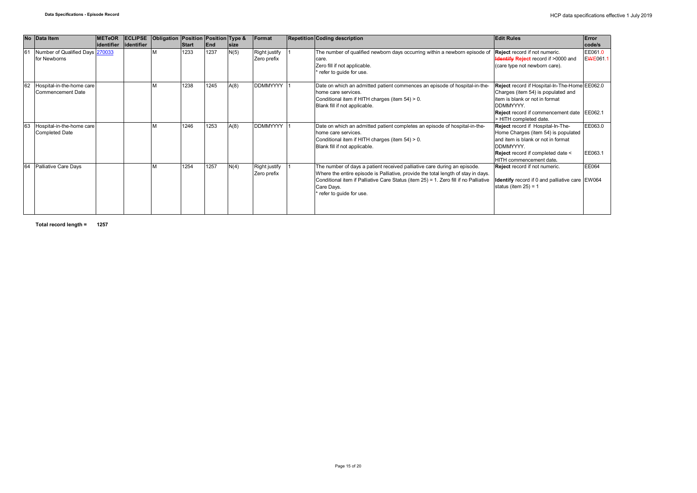|    | No Data Item                                       | <b>METeOR</b> | <b>ECLIPSE</b> | Obligation Position Position Type & |              |      |             | <b>Format</b>                | <b>Repetition Coding description</b>                                                                                                                                                                                                                                                             | <b>Edit Rules</b>                                                                                                                                                                                                     | Error              |
|----|----------------------------------------------------|---------------|----------------|-------------------------------------|--------------|------|-------------|------------------------------|--------------------------------------------------------------------------------------------------------------------------------------------------------------------------------------------------------------------------------------------------------------------------------------------------|-----------------------------------------------------------------------------------------------------------------------------------------------------------------------------------------------------------------------|--------------------|
|    |                                                    | identifier    | lidentifier    |                                     | <b>Start</b> | End  | <b>size</b> |                              |                                                                                                                                                                                                                                                                                                  |                                                                                                                                                                                                                       | code/s             |
|    | Number of Qualified Days 270033<br>for Newborns    |               |                |                                     | 1233         | 1237 | N(5)        | Right justify<br>Zero prefix | The number of qualified newborn days occurring within a newborn episode of Reject record if not numeric.<br>care.<br>Zero fill if not applicable.<br>refer to guide for use.                                                                                                                     | <b>Hentify Reject</b> record if >0000 and<br>(care type not newborn care).                                                                                                                                            | EE061.0<br>EWE061. |
|    | Hospital-in-the-home care<br>Commencement Date     |               |                |                                     | 1238         | 1245 | A(8)        | <b>DDMMYYYY</b>              | Date on which an admitted patient commences an episode of hospital-in-the-<br>home care services.<br>Conditional item if HITH charges (item 54) > 0.<br>Blank fill if not applicable.                                                                                                            | Reject record if Hospital-In-The-Home EE062.0<br>Charges (item 54) is populated and<br>item is blank or not in format<br>DDMMYYYY.<br>Reject record if commencement date                                              | EE062.1            |
|    | Hospital-in-the-home care<br><b>Completed Date</b> |               |                |                                     | 1246         | 1253 | A(8)        | <b>DDMMYYYY</b>              | Date on which an admitted patient completes an episode of hospital-in-the-<br>home care services.<br>Conditional item if HITH charges (item 54) > 0.<br>Blank fill if not applicable.                                                                                                            | > HITH completed date.<br>Reject record if Hospital-In-The-<br>Home Charges (item 54) is populated<br>and item is blank or not in format<br>DDMMYYYY.<br>Reject record if completed date <<br>HITH commencement date. | EE063.0<br>EE063.1 |
| 64 | Palliative Care Days                               |               |                |                                     | 1254         | 1257 | N(4)        | Right justify<br>Zero prefix | The number of days a patient received palliative care during an episode.<br>Where the entire episode is Palliative, provide the total length of stay in days.<br>Conditional item if Palliative Care Status (item 25) = 1. Zero fill if no Palliative<br>Care Days.<br>* refer to quide for use. | Reject record if not numeric.<br>Identify record if 0 and palliative care EW064<br>status (item $25$ ) = 1                                                                                                            | EE064              |

**Total record length = 1257**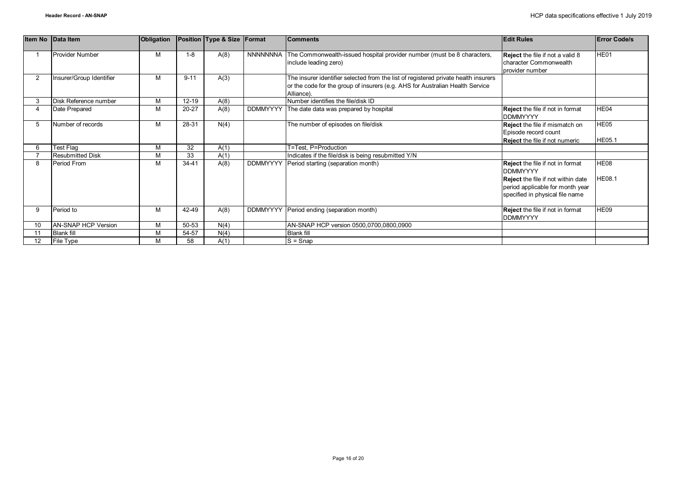|                | Item No Data Item          | <b>Obligation</b> |           | Position Type & Size Format |                 | <b>Comments</b>                                                                                                                                                                    | <b>Edit Rules</b>                                                                                                                                                              | <b>Error Code/s</b>   |
|----------------|----------------------------|-------------------|-----------|-----------------------------|-----------------|------------------------------------------------------------------------------------------------------------------------------------------------------------------------------------|--------------------------------------------------------------------------------------------------------------------------------------------------------------------------------|-----------------------|
|                | <b>Provider Number</b>     | M                 | $1 - 8$   | A(8)                        | NNNNNNNA        | The Commonwealth-issued hospital provider number (must be 8 characters,<br>include leading zero)                                                                                   | <b>Reject</b> the file if not a valid 8<br>character Commonwealth<br>provider number                                                                                           | HE01                  |
| $\overline{2}$ | Insurer/Group Identifier   | M                 | $9 - 11$  | A(3)                        |                 | The insurer identifier selected from the list of registered private health insurers<br>or the code for the group of insurers (e.g. AHS for Australian Health Service<br>Alliance). |                                                                                                                                                                                |                       |
| 3              | Disk Reference number      | M                 | $12 - 19$ | A(8)                        |                 | Number identifies the file/disk ID                                                                                                                                                 |                                                                                                                                                                                |                       |
|                | Date Prepared              | M                 | $20 - 27$ | A(8)                        | <b>DDMMYYYY</b> | The date data was prepared by hospital                                                                                                                                             | <b>Reject</b> the file if not in format<br><b>DDMMYYYY</b>                                                                                                                     | HE04                  |
|                | Number of records          | M                 | 28-31     | N(4)                        |                 | The number of episodes on file/disk                                                                                                                                                | <b>Reject</b> the file if mismatch on<br>Episode record count<br><b>Reject</b> the file if not numeric                                                                         | HE05<br><b>HE05.1</b> |
|                | Test Flag                  | M                 | 32        | A(1)                        |                 | T=Test. P=Production                                                                                                                                                               |                                                                                                                                                                                |                       |
|                | <b>Resubmitted Disk</b>    | M                 | 33        | A(1)                        |                 | Indicates if the file/disk is being resubmitted Y/N                                                                                                                                |                                                                                                                                                                                |                       |
| 8              | Period From                | M                 | 34-41     | A(8)                        | <b>DDMMYYYY</b> | Period starting (separation month)                                                                                                                                                 | <b>Reject</b> the file if not in format<br><b>DDMMYYYY</b><br><b>Reject</b> the file if not within date<br>period applicable for month year<br>specified in physical file name | HE08<br><b>HE08.1</b> |
| 9              | Period to                  | M                 | 42-49     | A(8)                        |                 | DDMMYYYY Period ending (separation month)                                                                                                                                          | <b>Reject</b> the file if not in format<br><b>DDMMYYYY</b>                                                                                                                     | HE09                  |
| 10             | <b>AN-SNAP HCP Version</b> | M                 | 50-53     | N(4)                        |                 | AN-SNAP HCP version 0500,0700,0800,0900                                                                                                                                            |                                                                                                                                                                                |                       |
|                | <b>Blank fill</b>          | M                 | 54-57     | N(4)                        |                 | <b>Blank fill</b>                                                                                                                                                                  |                                                                                                                                                                                |                       |
| 12             | File Type                  | м                 | 58        | A(1)                        |                 | $S =$ Snap                                                                                                                                                                         |                                                                                                                                                                                |                       |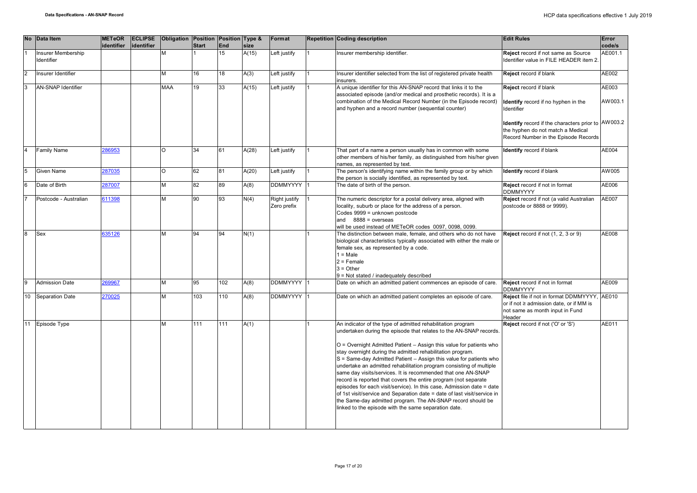|                | <b>No</b> | <b>Data Item</b>                 | <b>METeOR</b> | <b>ECLIPSE</b> | Obligation Position Position Type & |                 |            |       | Format                       | <b>Repetition Coding description</b>                                                                                                                                                                                                                                                                                                                                                                                                                                                                                                                                                                                                                                                                                                                                                                                               | <b>Edit Rules</b>                                                                                                                                                             | Error            |
|----------------|-----------|----------------------------------|---------------|----------------|-------------------------------------|-----------------|------------|-------|------------------------------|------------------------------------------------------------------------------------------------------------------------------------------------------------------------------------------------------------------------------------------------------------------------------------------------------------------------------------------------------------------------------------------------------------------------------------------------------------------------------------------------------------------------------------------------------------------------------------------------------------------------------------------------------------------------------------------------------------------------------------------------------------------------------------------------------------------------------------|-------------------------------------------------------------------------------------------------------------------------------------------------------------------------------|------------------|
|                |           |                                  | identifier    | identifier     |                                     | <b>Start</b>    | <b>End</b> | size  |                              |                                                                                                                                                                                                                                                                                                                                                                                                                                                                                                                                                                                                                                                                                                                                                                                                                                    |                                                                                                                                                                               | code/s           |
|                |           | Insurer Membership<br>Identifier |               |                |                                     |                 | 15         | A(15) | Left justify                 | nsurer membership identifier.                                                                                                                                                                                                                                                                                                                                                                                                                                                                                                                                                                                                                                                                                                                                                                                                      | Reject record if not same as Source<br>Identifier value in FILE HEADER item 2.                                                                                                | AE001.1          |
| l <sub>2</sub> |           | Insurer Identifier               |               |                | M                                   | 16              | 18         | A(3)  | Left justify                 | Insurer identifier selected from the list of registered private health<br>insurers.                                                                                                                                                                                                                                                                                                                                                                                                                                                                                                                                                                                                                                                                                                                                                | Reject record if blank                                                                                                                                                        | AE002            |
| lз             |           | AN-SNAP Identifier               |               |                | <b>MAA</b>                          | 19              | 33         | A(15) | Left justify                 | A unique identifier for this AN-SNAP record that links it to the<br>associated episode (and/or medical and prosthetic records). It is a<br>combination of the Medical Record Number (in the Episode record)<br>and hyphen and a record number (sequential counter)                                                                                                                                                                                                                                                                                                                                                                                                                                                                                                                                                                 | Reject record if blank<br><b>Identify</b> record if no hyphen in the<br>Identifier<br>Identify record if the characters prior to AW003.2<br>the hyphen do not match a Medical | AE003<br>AW003.1 |
|                |           |                                  |               |                |                                     |                 |            |       |                              |                                                                                                                                                                                                                                                                                                                                                                                                                                                                                                                                                                                                                                                                                                                                                                                                                                    | Record Number in the Episode Records                                                                                                                                          |                  |
|                |           | <b>Family Name</b>               | 286953        |                | O                                   | 34              | 61         | A(28) | Left justify                 | That part of a name a person usually has in common with some<br>other members of his/her family, as distinguished from his/her given<br>names, as represented by text.                                                                                                                                                                                                                                                                                                                                                                                                                                                                                                                                                                                                                                                             | Identify record if blank                                                                                                                                                      | AE004            |
|                |           | Given Name                       | 287035        |                | O                                   | 62              | 81         | A(20) | Left justify                 | The person's identifying name within the family group or by which<br>the person is socially identified, as represented by text.                                                                                                                                                                                                                                                                                                                                                                                                                                                                                                                                                                                                                                                                                                    | Identify record if blank                                                                                                                                                      | AW 005           |
|                |           | Date of Birth                    | 287007        |                | M                                   | $\overline{82}$ | 89         | A(8)  | DDMMYYYY 1                   | The date of birth of the person.                                                                                                                                                                                                                                                                                                                                                                                                                                                                                                                                                                                                                                                                                                                                                                                                   | Reject record if not in format<br><b>DDMMYYYY</b>                                                                                                                             | AE006            |
|                |           | Postcode - Australian            | 611398        |                | M                                   | 90              | 93         | N(4)  | Right justify<br>Zero prefix | The numeric descriptor for a postal delivery area, aligned with<br>locality, suburb or place for the address of a person.<br>Codes 9999 = unknown postcode<br>and $8888 = 0$ verseas<br>will be used instead of METeOR codes 0097, 0098, 0099.                                                                                                                                                                                                                                                                                                                                                                                                                                                                                                                                                                                     | Reject record if not (a valid Australian<br>postcode or 8888 or 9999).                                                                                                        | AE007            |
|                |           | Sex                              | 335126        |                | M                                   | 94              | 94         | N(1)  |                              | The distinction between male, female, and others who do not have<br>biological characteristics typically associated with either the male or<br>female sex, as represented by a code.<br>$1 = Male$<br>$2 =$ Female<br>$3 = Other$<br>9 = Not stated / inadequately described                                                                                                                                                                                                                                                                                                                                                                                                                                                                                                                                                       | Reject record if not (1, 2, 3 or 9)                                                                                                                                           | AE008            |
|                |           | <b>Admission Date</b>            | 269967        |                | M                                   | 95              | 102        | A(8)  | DDMMYYYY 1                   | Date on which an admitted patient commences an episode of care.                                                                                                                                                                                                                                                                                                                                                                                                                                                                                                                                                                                                                                                                                                                                                                    | Reject record if not in format<br><b>DDMMYYYY</b>                                                                                                                             | AE009            |
|                | 10        | Separation Date                  | 270025        |                | M                                   | 103             | 110        | A(8)  | DDMMYYYY 1                   | Date on which an admitted patient completes an episode of care.                                                                                                                                                                                                                                                                                                                                                                                                                                                                                                                                                                                                                                                                                                                                                                    | Reject file if not in format DDMMYYYY,<br>or if not ≥ admission date, or if MM is<br>not same as month input in Fund<br>Header                                                | AE010            |
|                | 11        | Episode Type                     |               |                | M                                   | 111             | 111        | A(1)  |                              | An indicator of the type of admitted rehabilitation program<br>undertaken during the episode that relates to the AN-SNAP records.<br>O = Overnight Admitted Patient - Assign this value for patients who<br>stay overnight during the admitted rehabilitation program.<br>S = Same-day Admitted Patient - Assign this value for patients who<br>undertake an admitted rehabilitation program consisting of multiple<br>same day visits/services. It is recommended that one AN-SNAP<br>record is reported that covers the entire program (not separate<br>episodes for each visit/service). In this case, Admission date = date<br>of 1st visit/service and Separation date = date of last visit/service in<br>the Same-day admitted program. The AN-SNAP record should be<br>linked to the episode with the same separation date. | Reject record if not ('O' or 'S')                                                                                                                                             | AE011            |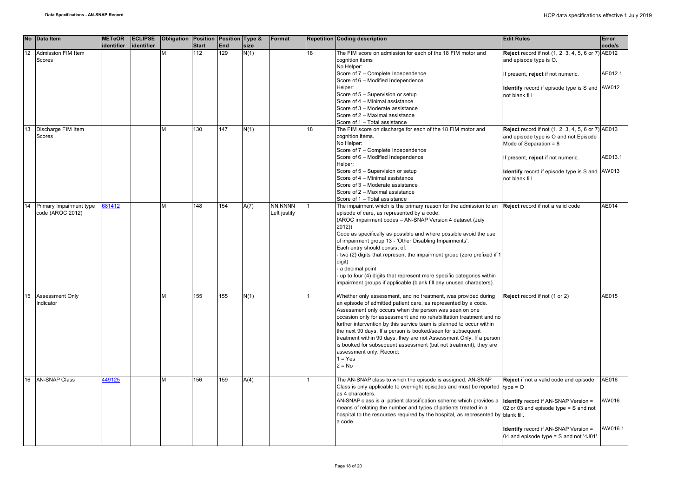|    | No Data Item                                | <b>METeOR</b><br>identifier | <b>ECLIPSE</b><br>identifier | Obligation Position Position Type & | <b>Start</b> | End | size | Format                  |    | <b>Repetition Coding description</b>                                                                                                                                                                                                                                                                                                                                                                                                                                                                                                                                                                           | <b>Edit Rules</b>                                                                                                              | Error<br>code/s           |
|----|---------------------------------------------|-----------------------------|------------------------------|-------------------------------------|--------------|-----|------|-------------------------|----|----------------------------------------------------------------------------------------------------------------------------------------------------------------------------------------------------------------------------------------------------------------------------------------------------------------------------------------------------------------------------------------------------------------------------------------------------------------------------------------------------------------------------------------------------------------------------------------------------------------|--------------------------------------------------------------------------------------------------------------------------------|---------------------------|
| 12 | Admission FIM Item<br>Scores                |                             |                              |                                     | 112          | 129 | N(1) |                         | 18 | The FIM score on admission for each of the 18 FIM motor and<br>cognition items<br>No Helper:                                                                                                                                                                                                                                                                                                                                                                                                                                                                                                                   | Reject record if not (1, 2, 3, 4, 5, 6 or 7) AE012<br>and episode type is O.                                                   |                           |
|    |                                             |                             |                              |                                     |              |     |      |                         |    | Score of 7 - Complete Independence<br>Score of 6 - Modified Independence                                                                                                                                                                                                                                                                                                                                                                                                                                                                                                                                       | If present, reject if not numeric.                                                                                             | AE012.1                   |
|    |                                             |                             |                              |                                     |              |     |      |                         |    | Helper:<br>Score of 5 - Supervision or setup<br>Score of 4 - Minimal assistance                                                                                                                                                                                                                                                                                                                                                                                                                                                                                                                                | Identify record if episode type is S and AW012<br>not blank fill                                                               |                           |
|    |                                             |                             |                              |                                     |              |     |      |                         |    | Score of 3 - Moderate assistance<br>Score of 2 - Maximal assistance                                                                                                                                                                                                                                                                                                                                                                                                                                                                                                                                            |                                                                                                                                |                           |
| 13 | Discharge FIM Item<br>Scores                |                             |                              |                                     | 130          | 147 | N(1) |                         | 18 | Score of 1 - Total assistance<br>The FIM score on discharge for each of the 18 FIM motor and<br>cognition items.<br>No Helper:                                                                                                                                                                                                                                                                                                                                                                                                                                                                                 | <b>Reject</b> record if not (1, 2, 3, 4, 5, 6 or 7) AE013<br>and episode type is O and not Episode<br>Mode of Separation = $8$ |                           |
|    |                                             |                             |                              |                                     |              |     |      |                         |    | Score of 7 - Complete Independence<br>Score of 6 - Modified Independence<br>Helper:                                                                                                                                                                                                                                                                                                                                                                                                                                                                                                                            | f present, reject if not numeric.                                                                                              | AE013.1                   |
|    |                                             |                             |                              |                                     |              |     |      |                         |    | Score of 5 - Supervision or setup<br>Score of 4 - Minimal assistance<br>Score of 3 - Moderate assistance                                                                                                                                                                                                                                                                                                                                                                                                                                                                                                       | Identify record if episode type is S and AW013<br>not blank fill                                                               |                           |
|    |                                             |                             |                              |                                     |              |     |      |                         |    | Score of 2 - Maximal assistance<br>Score of 1 - Total assistance                                                                                                                                                                                                                                                                                                                                                                                                                                                                                                                                               |                                                                                                                                |                           |
| 14 | Primary Impairment type<br>code (AROC 2012) | 81412                       |                              | M                                   | 148          | 154 | A(7) | NN.NNNN<br>Left justify |    | The impairment which is the primary reason for the admission to an<br>episode of care, as represented by a code.<br>(AROC impairment codes - AN-SNAP Version 4 dataset (July<br>2012)<br>Code as specifically as possible and where possible avoid the use<br>of impairment group 13 - 'Other Disabling Impairments'.<br>Each entry should consist of:<br>two (2) digits that represent the impairment group (zero prefixed if 1<br>digit)<br>a decimal point<br>- up to four (4) digits that represent more specific categories within<br>impairment groups if applicable (blank fill any unused characters). | Reject record if not a valid code                                                                                              | AE014                     |
| 15 | <b>Assessment Only</b><br>Indicator         |                             |                              | м                                   | 155          | 155 | N(1) |                         |    | Whether only assessment, and no treatment, was provided during<br>an episode of admitted patient care, as represented by a code.<br>Assessment only occurs when the person was seen on one<br>occasion only for assessment and no rehabilitation treatment and no<br>further intervention by this service team is planned to occur within<br>the next 90 days. If a person is booked/seen for subsequent<br>treatment within 90 days, they are not Assessment Only. If a person<br>is booked for subsequent assessment (but not treatment), they are<br>assessment only. Record:<br>$1 = Yes$<br>$2 = No$      | Reject record if not (1 or 2)                                                                                                  | AE015                     |
|    | 16 AN-SNAP Class                            | 449125                      |                              | M                                   | 156          | 159 | A(4) |                         |    | The AN-SNAP class to which the episode is assigned. AN-SNAP<br>Class is only applicable to overnight episodes and must be reported type = $O$<br>as 4 characters.<br>AN-SNAP class is a patient classification scheme which provides a<br>means of relating the number and types of patients treated in a<br>hospital to the resources required by the hospital, as represented by blank fill.<br>a code.                                                                                                                                                                                                      | Reject if not a valid code and episode<br><b>Identify</b> record if AN-SNAP Version =<br>02 or 03 and episode type = S and not | AE016<br>AW016<br>AW016.1 |
|    |                                             |                             |                              |                                     |              |     |      |                         |    |                                                                                                                                                                                                                                                                                                                                                                                                                                                                                                                                                                                                                | <b>Identify</b> record if AN-SNAP Version =<br>04 and episode type = S and not '4J01'.                                         |                           |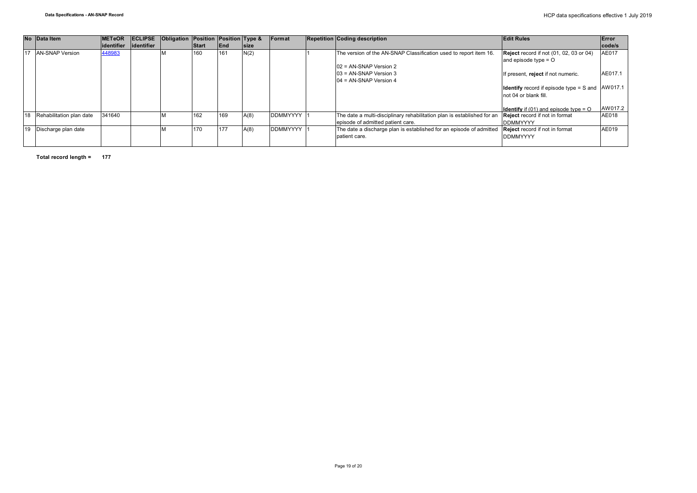|    | No Data Item             | <b>IMETeOR</b> |             | <b>ECLIPSE</b> Obligation Position Position Type & |       |            |             | Format          | <b>Repetition Coding description</b>                                    | <b>Edit Rules</b>                                  | Error   |
|----|--------------------------|----------------|-------------|----------------------------------------------------|-------|------------|-------------|-----------------|-------------------------------------------------------------------------|----------------------------------------------------|---------|
|    |                          | lidentifier    | lidentifier |                                                    | Start | <b>End</b> | <b>Size</b> |                 |                                                                         |                                                    | code/s  |
|    | <b>AN-SNAP Version</b>   | 448983         |             |                                                    | 160   | 161        | N(2)        |                 | The version of the AN-SNAP Classification used to report item 16.       | <b>Reject</b> record if not (01, 02, 03 or 04)     | AE017   |
|    |                          |                |             |                                                    |       |            |             |                 |                                                                         | and episode type $=$ O                             |         |
|    |                          |                |             |                                                    |       |            |             |                 | $102$ = AN-SNAP Version 2                                               |                                                    |         |
|    |                          |                |             |                                                    |       |            |             |                 | $103$ = AN-SNAP Version 3                                               | If present, reject if not numeric.                 | AE017.1 |
|    |                          |                |             |                                                    |       |            |             |                 | $104$ = AN-SNAP Version 4                                               |                                                    |         |
|    |                          |                |             |                                                    |       |            |             |                 |                                                                         | <b>Identify</b> record if episode type = S and     | AW017.1 |
|    |                          |                |             |                                                    |       |            |             |                 |                                                                         | not 04 or blank fill.                              |         |
|    |                          |                |             |                                                    |       |            |             |                 |                                                                         |                                                    |         |
|    |                          |                |             |                                                    |       |            |             |                 |                                                                         | <b>Identify</b> if (01) and episode type = $\circ$ | AW017.2 |
| 18 | Rehabilitation plan date | 341640         |             |                                                    | 162   | 169        | A(8)        | <b>DDMMYYYY</b> | The date a multi-disciplinary rehabilitation plan is established for an | Reject record if not in format                     | AE018   |
|    |                          |                |             |                                                    |       |            |             |                 | episode of admitted patient care.                                       | <b>DDMMYYYY</b>                                    |         |
| 19 | Discharge plan date      |                |             |                                                    | 170   | 177        | A(8)        | <b>DDMMYYYY</b> | The date a discharge plan is established for an episode of admitted     | <b>Reject</b> record if not in format              | AE019   |
|    |                          |                |             |                                                    |       |            |             |                 | patient care.                                                           | <b>DDMMYYYY</b>                                    |         |
|    |                          |                |             |                                                    |       |            |             |                 |                                                                         |                                                    |         |

**Total record length = 177**